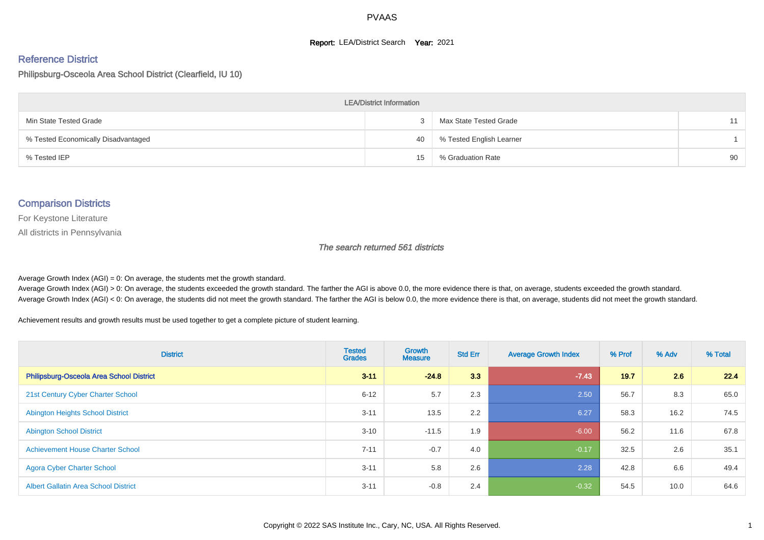#### **Report: LEA/District Search Year: 2021**

# Reference District

#### Philipsburg-Osceola Area School District (Clearfield, IU 10)

| <b>LEA/District Information</b>     |    |                          |    |  |  |  |  |  |  |  |
|-------------------------------------|----|--------------------------|----|--|--|--|--|--|--|--|
| Min State Tested Grade              |    | Max State Tested Grade   | 11 |  |  |  |  |  |  |  |
| % Tested Economically Disadvantaged | 40 | % Tested English Learner |    |  |  |  |  |  |  |  |
| % Tested IEP                        | 15 | % Graduation Rate        | 90 |  |  |  |  |  |  |  |

#### Comparison Districts

For Keystone Literature

All districts in Pennsylvania

The search returned 561 districts

Average Growth Index  $(AGI) = 0$ : On average, the students met the growth standard.

Average Growth Index (AGI) > 0: On average, the students exceeded the growth standard. The farther the AGI is above 0.0, the more evidence there is that, on average, students exceeded the growth standard. Average Growth Index (AGI) < 0: On average, the students did not meet the growth standard. The farther the AGI is below 0.0, the more evidence there is that, on average, students did not meet the growth standard.

Achievement results and growth results must be used together to get a complete picture of student learning.

| <b>District</b>                             | <b>Tested</b><br><b>Grades</b> | <b>Growth</b><br><b>Measure</b> | <b>Std Err</b> | <b>Average Growth Index</b> | % Prof | % Adv | % Total |
|---------------------------------------------|--------------------------------|---------------------------------|----------------|-----------------------------|--------|-------|---------|
| Philipsburg-Osceola Area School District    | $3 - 11$                       | $-24.8$                         | 3.3            | $-7.43$                     | 19.7   | 2.6   | 22.4    |
| 21st Century Cyber Charter School           | $6 - 12$                       | 5.7                             | 2.3            | 2.50                        | 56.7   | 8.3   | 65.0    |
| <b>Abington Heights School District</b>     | $3 - 11$                       | 13.5                            | 2.2            | 6.27                        | 58.3   | 16.2  | 74.5    |
| <b>Abington School District</b>             | $3 - 10$                       | $-11.5$                         | 1.9            | $-6.00$                     | 56.2   | 11.6  | 67.8    |
| <b>Achievement House Charter School</b>     | $7 - 11$                       | $-0.7$                          | 4.0            | $-0.17$                     | 32.5   | 2.6   | 35.1    |
| <b>Agora Cyber Charter School</b>           | $3 - 11$                       | 5.8                             | 2.6            | 2.28                        | 42.8   | 6.6   | 49.4    |
| <b>Albert Gallatin Area School District</b> | $3 - 11$                       | $-0.8$                          | 2.4            | $-0.32$                     | 54.5   | 10.0  | 64.6    |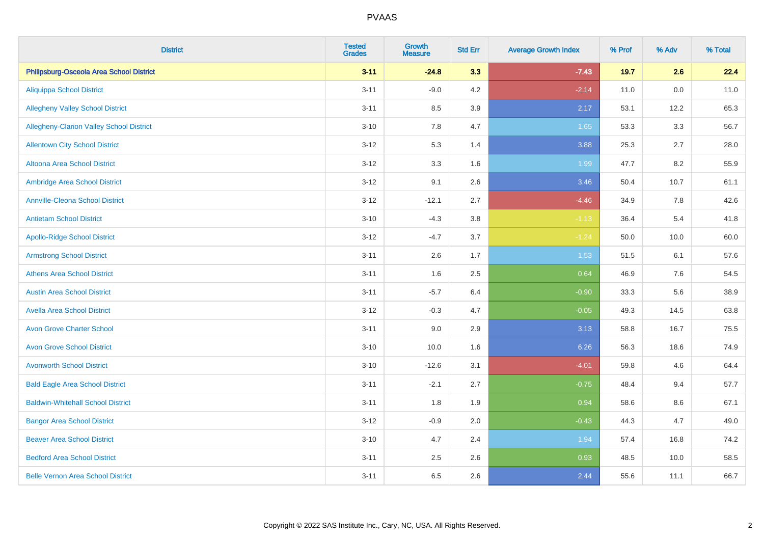| <b>District</b>                                 | <b>Tested</b><br>Grades | <b>Growth</b><br><b>Measure</b> | <b>Std Err</b> | <b>Average Growth Index</b> | % Prof | % Adv   | % Total |
|-------------------------------------------------|-------------------------|---------------------------------|----------------|-----------------------------|--------|---------|---------|
| Philipsburg-Osceola Area School District        | $3 - 11$                | $-24.8$                         | 3.3            | $-7.43$                     | 19.7   | 2.6     | 22.4    |
| <b>Aliquippa School District</b>                | $3 - 11$                | $-9.0$                          | 4.2            | $-2.14$                     | 11.0   | $0.0\,$ | 11.0    |
| <b>Allegheny Valley School District</b>         | $3 - 11$                | 8.5                             | 3.9            | 2.17                        | 53.1   | 12.2    | 65.3    |
| <b>Allegheny-Clarion Valley School District</b> | $3 - 10$                | 7.8                             | 4.7            | 1.65                        | 53.3   | 3.3     | 56.7    |
| <b>Allentown City School District</b>           | $3 - 12$                | 5.3                             | 1.4            | 3.88                        | 25.3   | 2.7     | 28.0    |
| <b>Altoona Area School District</b>             | $3 - 12$                | 3.3                             | 1.6            | 1.99                        | 47.7   | 8.2     | 55.9    |
| Ambridge Area School District                   | $3 - 12$                | 9.1                             | 2.6            | 3.46                        | 50.4   | 10.7    | 61.1    |
| <b>Annville-Cleona School District</b>          | $3 - 12$                | $-12.1$                         | 2.7            | $-4.46$                     | 34.9   | 7.8     | 42.6    |
| <b>Antietam School District</b>                 | $3 - 10$                | $-4.3$                          | 3.8            | $-1.13$                     | 36.4   | 5.4     | 41.8    |
| <b>Apollo-Ridge School District</b>             | $3 - 12$                | $-4.7$                          | 3.7            | $-1.24$                     | 50.0   | 10.0    | 60.0    |
| <b>Armstrong School District</b>                | $3 - 11$                | 2.6                             | 1.7            | 1.53                        | 51.5   | 6.1     | 57.6    |
| <b>Athens Area School District</b>              | $3 - 11$                | 1.6                             | 2.5            | 0.64                        | 46.9   | 7.6     | 54.5    |
| <b>Austin Area School District</b>              | $3 - 11$                | $-5.7$                          | 6.4            | $-0.90$                     | 33.3   | 5.6     | 38.9    |
| <b>Avella Area School District</b>              | $3 - 12$                | $-0.3$                          | 4.7            | $-0.05$                     | 49.3   | 14.5    | 63.8    |
| <b>Avon Grove Charter School</b>                | $3 - 11$                | 9.0                             | 2.9            | 3.13                        | 58.8   | 16.7    | 75.5    |
| <b>Avon Grove School District</b>               | $3 - 10$                | 10.0                            | 1.6            | 6.26                        | 56.3   | 18.6    | 74.9    |
| <b>Avonworth School District</b>                | $3 - 10$                | $-12.6$                         | 3.1            | $-4.01$                     | 59.8   | 4.6     | 64.4    |
| <b>Bald Eagle Area School District</b>          | $3 - 11$                | $-2.1$                          | 2.7            | $-0.75$                     | 48.4   | 9.4     | 57.7    |
| <b>Baldwin-Whitehall School District</b>        | $3 - 11$                | 1.8                             | 1.9            | 0.94                        | 58.6   | 8.6     | 67.1    |
| <b>Bangor Area School District</b>              | $3 - 12$                | $-0.9$                          | 2.0            | $-0.43$                     | 44.3   | 4.7     | 49.0    |
| <b>Beaver Area School District</b>              | $3 - 10$                | 4.7                             | 2.4            | 1.94                        | 57.4   | 16.8    | 74.2    |
| <b>Bedford Area School District</b>             | $3 - 11$                | 2.5                             | 2.6            | 0.93                        | 48.5   | 10.0    | 58.5    |
| <b>Belle Vernon Area School District</b>        | $3 - 11$                | 6.5                             | 2.6            | 2.44                        | 55.6   | 11.1    | 66.7    |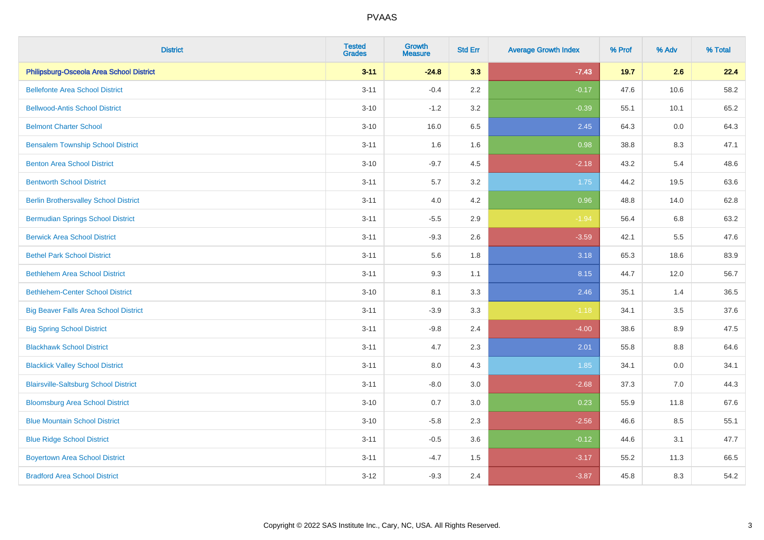| <b>District</b>                              | <b>Tested</b><br><b>Grades</b> | <b>Growth</b><br><b>Measure</b> | <b>Std Err</b> | <b>Average Growth Index</b> | % Prof | % Adv   | % Total |
|----------------------------------------------|--------------------------------|---------------------------------|----------------|-----------------------------|--------|---------|---------|
| Philipsburg-Osceola Area School District     | $3 - 11$                       | $-24.8$                         | 3.3            | $-7.43$                     | 19.7   | 2.6     | 22.4    |
| <b>Bellefonte Area School District</b>       | $3 - 11$                       | $-0.4$                          | 2.2            | $-0.17$                     | 47.6   | 10.6    | 58.2    |
| <b>Bellwood-Antis School District</b>        | $3 - 10$                       | $-1.2$                          | 3.2            | $-0.39$                     | 55.1   | 10.1    | 65.2    |
| <b>Belmont Charter School</b>                | $3 - 10$                       | 16.0                            | 6.5            | 2.45                        | 64.3   | 0.0     | 64.3    |
| <b>Bensalem Township School District</b>     | $3 - 11$                       | 1.6                             | 1.6            | 0.98                        | 38.8   | 8.3     | 47.1    |
| <b>Benton Area School District</b>           | $3 - 10$                       | $-9.7$                          | 4.5            | $-2.18$                     | 43.2   | 5.4     | 48.6    |
| <b>Bentworth School District</b>             | $3 - 11$                       | 5.7                             | 3.2            | 1.75                        | 44.2   | 19.5    | 63.6    |
| <b>Berlin Brothersvalley School District</b> | $3 - 11$                       | 4.0                             | 4.2            | 0.96                        | 48.8   | 14.0    | 62.8    |
| <b>Bermudian Springs School District</b>     | $3 - 11$                       | $-5.5$                          | 2.9            | $-1.94$                     | 56.4   | 6.8     | 63.2    |
| <b>Berwick Area School District</b>          | $3 - 11$                       | $-9.3$                          | 2.6            | $-3.59$                     | 42.1   | 5.5     | 47.6    |
| <b>Bethel Park School District</b>           | $3 - 11$                       | 5.6                             | 1.8            | 3.18                        | 65.3   | 18.6    | 83.9    |
| <b>Bethlehem Area School District</b>        | $3 - 11$                       | 9.3                             | 1.1            | 8.15                        | 44.7   | 12.0    | 56.7    |
| <b>Bethlehem-Center School District</b>      | $3 - 10$                       | 8.1                             | 3.3            | 2.46                        | 35.1   | 1.4     | 36.5    |
| <b>Big Beaver Falls Area School District</b> | $3 - 11$                       | $-3.9$                          | 3.3            | $-1.18$                     | 34.1   | 3.5     | 37.6    |
| <b>Big Spring School District</b>            | $3 - 11$                       | $-9.8$                          | 2.4            | $-4.00$                     | 38.6   | 8.9     | 47.5    |
| <b>Blackhawk School District</b>             | $3 - 11$                       | 4.7                             | 2.3            | 2.01                        | 55.8   | $8.8\,$ | 64.6    |
| <b>Blacklick Valley School District</b>      | $3 - 11$                       | 8.0                             | 4.3            | 1.85                        | 34.1   | 0.0     | 34.1    |
| <b>Blairsville-Saltsburg School District</b> | $3 - 11$                       | $-8.0$                          | 3.0            | $-2.68$                     | 37.3   | 7.0     | 44.3    |
| <b>Bloomsburg Area School District</b>       | $3 - 10$                       | 0.7                             | 3.0            | 0.23                        | 55.9   | 11.8    | 67.6    |
| <b>Blue Mountain School District</b>         | $3 - 10$                       | $-5.8$                          | 2.3            | $-2.56$                     | 46.6   | 8.5     | 55.1    |
| <b>Blue Ridge School District</b>            | $3 - 11$                       | $-0.5$                          | 3.6            | $-0.12$                     | 44.6   | 3.1     | 47.7    |
| <b>Boyertown Area School District</b>        | $3 - 11$                       | $-4.7$                          | 1.5            | $-3.17$                     | 55.2   | 11.3    | 66.5    |
| <b>Bradford Area School District</b>         | $3 - 12$                       | $-9.3$                          | 2.4            | $-3.87$                     | 45.8   | 8.3     | 54.2    |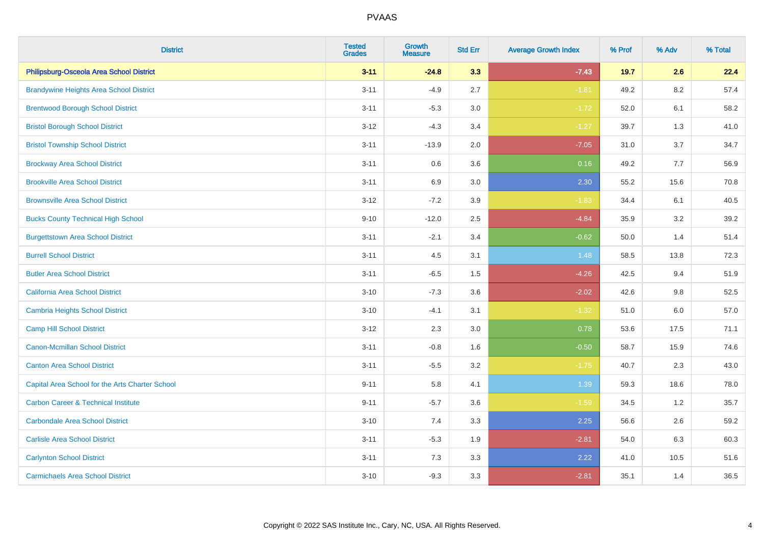| <b>District</b>                                 | <b>Tested</b><br><b>Grades</b> | <b>Growth</b><br><b>Measure</b> | <b>Std Err</b> | <b>Average Growth Index</b> | % Prof | % Adv   | % Total |
|-------------------------------------------------|--------------------------------|---------------------------------|----------------|-----------------------------|--------|---------|---------|
| Philipsburg-Osceola Area School District        | $3 - 11$                       | $-24.8$                         | 3.3            | $-7.43$                     | 19.7   | 2.6     | 22.4    |
| <b>Brandywine Heights Area School District</b>  | $3 - 11$                       | $-4.9$                          | 2.7            | $-1.81$                     | 49.2   | $8.2\,$ | 57.4    |
| <b>Brentwood Borough School District</b>        | $3 - 11$                       | $-5.3$                          | 3.0            | $-1.72$                     | 52.0   | 6.1     | 58.2    |
| <b>Bristol Borough School District</b>          | $3 - 12$                       | $-4.3$                          | 3.4            | $-1.27$                     | 39.7   | 1.3     | 41.0    |
| <b>Bristol Township School District</b>         | $3 - 11$                       | $-13.9$                         | 2.0            | $-7.05$                     | 31.0   | 3.7     | 34.7    |
| <b>Brockway Area School District</b>            | $3 - 11$                       | 0.6                             | 3.6            | 0.16                        | 49.2   | 7.7     | 56.9    |
| <b>Brookville Area School District</b>          | $3 - 11$                       | 6.9                             | 3.0            | 2.30                        | 55.2   | 15.6    | 70.8    |
| <b>Brownsville Area School District</b>         | $3 - 12$                       | $-7.2$                          | 3.9            | $-1.83$                     | 34.4   | 6.1     | 40.5    |
| <b>Bucks County Technical High School</b>       | $9 - 10$                       | $-12.0$                         | 2.5            | $-4.84$                     | 35.9   | 3.2     | 39.2    |
| <b>Burgettstown Area School District</b>        | $3 - 11$                       | $-2.1$                          | 3.4            | $-0.62$                     | 50.0   | 1.4     | 51.4    |
| <b>Burrell School District</b>                  | $3 - 11$                       | 4.5                             | 3.1            | 1.48                        | 58.5   | 13.8    | 72.3    |
| <b>Butler Area School District</b>              | $3 - 11$                       | $-6.5$                          | 1.5            | $-4.26$                     | 42.5   | 9.4     | 51.9    |
| <b>California Area School District</b>          | $3 - 10$                       | $-7.3$                          | 3.6            | $-2.02$                     | 42.6   | $9.8\,$ | 52.5    |
| <b>Cambria Heights School District</b>          | $3 - 10$                       | $-4.1$                          | 3.1            | $-1.32$                     | 51.0   | 6.0     | 57.0    |
| <b>Camp Hill School District</b>                | $3 - 12$                       | 2.3                             | 3.0            | 0.78                        | 53.6   | 17.5    | 71.1    |
| <b>Canon-Mcmillan School District</b>           | $3 - 11$                       | $-0.8$                          | 1.6            | $-0.50$                     | 58.7   | 15.9    | 74.6    |
| <b>Canton Area School District</b>              | $3 - 11$                       | $-5.5$                          | 3.2            | $-1.75$                     | 40.7   | 2.3     | 43.0    |
| Capital Area School for the Arts Charter School | $9 - 11$                       | 5.8                             | 4.1            | 1.39                        | 59.3   | 18.6    | 78.0    |
| <b>Carbon Career &amp; Technical Institute</b>  | $9 - 11$                       | $-5.7$                          | 3.6            | $-1.59$                     | 34.5   | 1.2     | 35.7    |
| <b>Carbondale Area School District</b>          | $3 - 10$                       | 7.4                             | 3.3            | 2.25                        | 56.6   | 2.6     | 59.2    |
| <b>Carlisle Area School District</b>            | $3 - 11$                       | $-5.3$                          | 1.9            | $-2.81$                     | 54.0   | 6.3     | 60.3    |
| <b>Carlynton School District</b>                | $3 - 11$                       | 7.3                             | 3.3            | 2.22                        | 41.0   | 10.5    | 51.6    |
| <b>Carmichaels Area School District</b>         | $3 - 10$                       | $-9.3$                          | 3.3            | $-2.81$                     | 35.1   | 1.4     | 36.5    |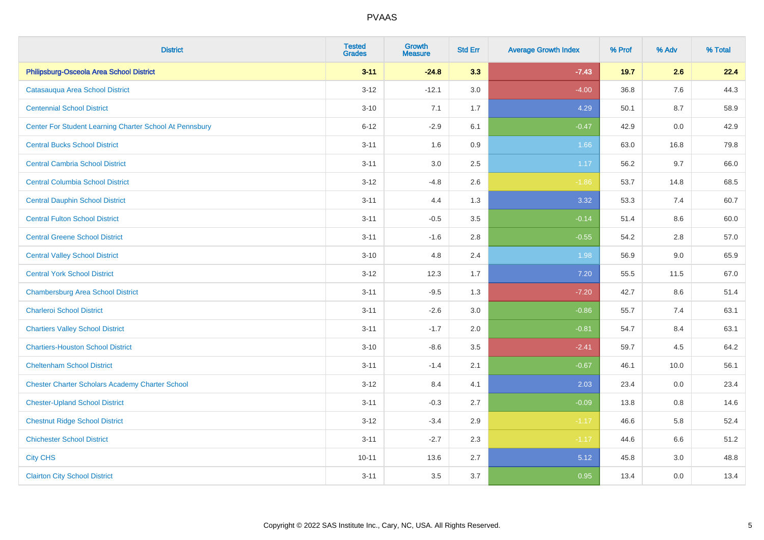| <b>District</b>                                         | <b>Tested</b><br><b>Grades</b> | <b>Growth</b><br><b>Measure</b> | <b>Std Err</b> | <b>Average Growth Index</b> | % Prof | % Adv | % Total |
|---------------------------------------------------------|--------------------------------|---------------------------------|----------------|-----------------------------|--------|-------|---------|
| Philipsburg-Osceola Area School District                | $3 - 11$                       | $-24.8$                         | 3.3            | $-7.43$                     | 19.7   | 2.6   | 22.4    |
| Catasauqua Area School District                         | $3 - 12$                       | $-12.1$                         | 3.0            | $-4.00$                     | 36.8   | 7.6   | 44.3    |
| <b>Centennial School District</b>                       | $3 - 10$                       | 7.1                             | 1.7            | 4.29                        | 50.1   | 8.7   | 58.9    |
| Center For Student Learning Charter School At Pennsbury | $6 - 12$                       | $-2.9$                          | 6.1            | $-0.47$                     | 42.9   | 0.0   | 42.9    |
| <b>Central Bucks School District</b>                    | $3 - 11$                       | 1.6                             | 0.9            | 1.66                        | 63.0   | 16.8  | 79.8    |
| <b>Central Cambria School District</b>                  | $3 - 11$                       | 3.0                             | 2.5            | 1.17                        | 56.2   | 9.7   | 66.0    |
| <b>Central Columbia School District</b>                 | $3 - 12$                       | $-4.8$                          | 2.6            | $-1.86$                     | 53.7   | 14.8  | 68.5    |
| <b>Central Dauphin School District</b>                  | $3 - 11$                       | 4.4                             | 1.3            | 3.32                        | 53.3   | 7.4   | 60.7    |
| <b>Central Fulton School District</b>                   | $3 - 11$                       | $-0.5$                          | 3.5            | $-0.14$                     | 51.4   | 8.6   | 60.0    |
| <b>Central Greene School District</b>                   | $3 - 11$                       | $-1.6$                          | 2.8            | $-0.55$                     | 54.2   | 2.8   | 57.0    |
| <b>Central Valley School District</b>                   | $3 - 10$                       | 4.8                             | 2.4            | 1.98                        | 56.9   | 9.0   | 65.9    |
| <b>Central York School District</b>                     | $3 - 12$                       | 12.3                            | 1.7            | 7.20                        | 55.5   | 11.5  | 67.0    |
| <b>Chambersburg Area School District</b>                | $3 - 11$                       | $-9.5$                          | 1.3            | $-7.20$                     | 42.7   | 8.6   | 51.4    |
| <b>Charleroi School District</b>                        | $3 - 11$                       | $-2.6$                          | 3.0            | $-0.86$                     | 55.7   | 7.4   | 63.1    |
| <b>Chartiers Valley School District</b>                 | $3 - 11$                       | $-1.7$                          | 2.0            | $-0.81$                     | 54.7   | 8.4   | 63.1    |
| <b>Chartiers-Houston School District</b>                | $3 - 10$                       | $-8.6$                          | 3.5            | $-2.41$                     | 59.7   | 4.5   | 64.2    |
| <b>Cheltenham School District</b>                       | $3 - 11$                       | $-1.4$                          | 2.1            | $-0.67$                     | 46.1   | 10.0  | 56.1    |
| <b>Chester Charter Scholars Academy Charter School</b>  | $3 - 12$                       | 8.4                             | 4.1            | 2.03                        | 23.4   | 0.0   | 23.4    |
| <b>Chester-Upland School District</b>                   | $3 - 11$                       | $-0.3$                          | 2.7            | $-0.09$                     | 13.8   | 0.8   | 14.6    |
| <b>Chestnut Ridge School District</b>                   | $3 - 12$                       | $-3.4$                          | 2.9            | $-1.17$                     | 46.6   | 5.8   | 52.4    |
| <b>Chichester School District</b>                       | $3 - 11$                       | $-2.7$                          | 2.3            | $-1.17$                     | 44.6   | 6.6   | 51.2    |
| <b>City CHS</b>                                         | $10 - 11$                      | 13.6                            | 2.7            | 5.12                        | 45.8   | 3.0   | 48.8    |
| <b>Clairton City School District</b>                    | $3 - 11$                       | 3.5                             | 3.7            | 0.95                        | 13.4   | 0.0   | 13.4    |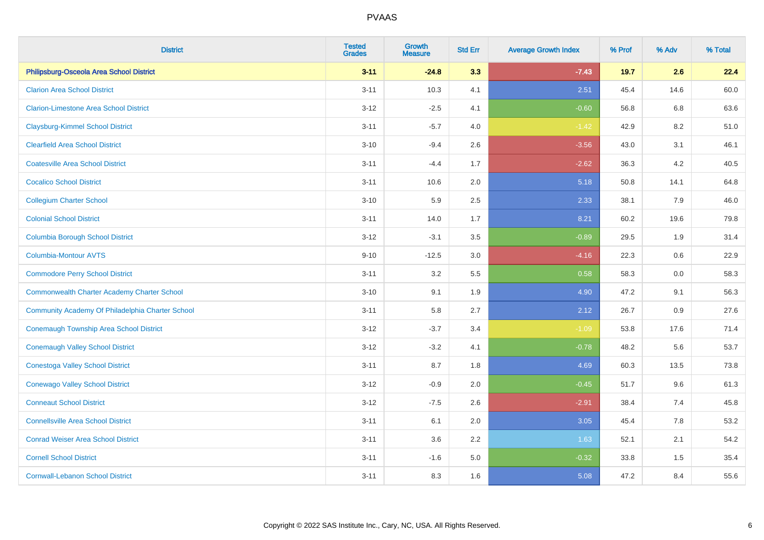| <b>District</b>                                    | <b>Tested</b><br><b>Grades</b> | <b>Growth</b><br><b>Measure</b> | <b>Std Err</b> | <b>Average Growth Index</b> | % Prof | % Adv | % Total |
|----------------------------------------------------|--------------------------------|---------------------------------|----------------|-----------------------------|--------|-------|---------|
| Philipsburg-Osceola Area School District           | $3 - 11$                       | $-24.8$                         | 3.3            | $-7.43$                     | 19.7   | 2.6   | 22.4    |
| <b>Clarion Area School District</b>                | $3 - 11$                       | 10.3                            | 4.1            | 2.51                        | 45.4   | 14.6  | 60.0    |
| <b>Clarion-Limestone Area School District</b>      | $3 - 12$                       | $-2.5$                          | 4.1            | $-0.60$                     | 56.8   | 6.8   | 63.6    |
| <b>Claysburg-Kimmel School District</b>            | $3 - 11$                       | $-5.7$                          | 4.0            | $-1.42$                     | 42.9   | 8.2   | 51.0    |
| <b>Clearfield Area School District</b>             | $3 - 10$                       | $-9.4$                          | 2.6            | $-3.56$                     | 43.0   | 3.1   | 46.1    |
| <b>Coatesville Area School District</b>            | $3 - 11$                       | $-4.4$                          | 1.7            | $-2.62$                     | 36.3   | 4.2   | 40.5    |
| <b>Cocalico School District</b>                    | $3 - 11$                       | 10.6                            | 2.0            | 5.18                        | 50.8   | 14.1  | 64.8    |
| <b>Collegium Charter School</b>                    | $3 - 10$                       | 5.9                             | 2.5            | 2.33                        | 38.1   | 7.9   | 46.0    |
| <b>Colonial School District</b>                    | $3 - 11$                       | 14.0                            | 1.7            | 8.21                        | 60.2   | 19.6  | 79.8    |
| <b>Columbia Borough School District</b>            | $3 - 12$                       | $-3.1$                          | 3.5            | $-0.89$                     | 29.5   | 1.9   | 31.4    |
| <b>Columbia-Montour AVTS</b>                       | $9 - 10$                       | $-12.5$                         | 3.0            | $-4.16$                     | 22.3   | 0.6   | 22.9    |
| <b>Commodore Perry School District</b>             | $3 - 11$                       | 3.2                             | 5.5            | 0.58                        | 58.3   | 0.0   | 58.3    |
| <b>Commonwealth Charter Academy Charter School</b> | $3 - 10$                       | 9.1                             | 1.9            | 4.90                        | 47.2   | 9.1   | 56.3    |
| Community Academy Of Philadelphia Charter School   | $3 - 11$                       | 5.8                             | 2.7            | 2.12                        | 26.7   | 0.9   | 27.6    |
| Conemaugh Township Area School District            | $3-12$                         | $-3.7$                          | 3.4            | $-1.09$                     | 53.8   | 17.6  | 71.4    |
| <b>Conemaugh Valley School District</b>            | $3 - 12$                       | $-3.2$                          | 4.1            | $-0.78$                     | 48.2   | 5.6   | 53.7    |
| <b>Conestoga Valley School District</b>            | $3 - 11$                       | 8.7                             | 1.8            | 4.69                        | 60.3   | 13.5  | 73.8    |
| <b>Conewago Valley School District</b>             | $3 - 12$                       | $-0.9$                          | 2.0            | $-0.45$                     | 51.7   | 9.6   | 61.3    |
| <b>Conneaut School District</b>                    | $3-12$                         | $-7.5$                          | 2.6            | $-2.91$                     | 38.4   | 7.4   | 45.8    |
| <b>Connellsville Area School District</b>          | $3 - 11$                       | 6.1                             | 2.0            | 3.05                        | 45.4   | 7.8   | 53.2    |
| <b>Conrad Weiser Area School District</b>          | $3 - 11$                       | 3.6                             | 2.2            | 1.63                        | 52.1   | 2.1   | 54.2    |
| <b>Cornell School District</b>                     | $3 - 11$                       | $-1.6$                          | 5.0            | $-0.32$                     | 33.8   | 1.5   | 35.4    |
| <b>Cornwall-Lebanon School District</b>            | $3 - 11$                       | 8.3                             | 1.6            | 5.08                        | 47.2   | 8.4   | 55.6    |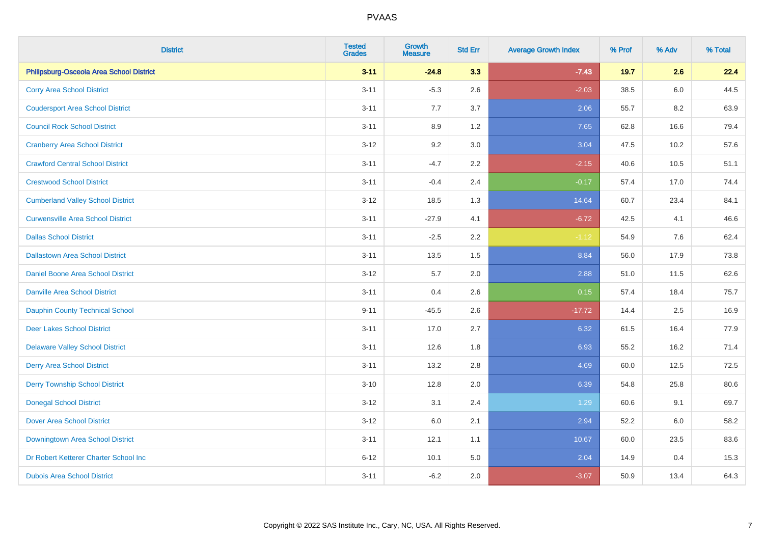| <b>District</b>                          | <b>Tested</b><br><b>Grades</b> | <b>Growth</b><br><b>Measure</b> | <b>Std Err</b> | <b>Average Growth Index</b> | % Prof | % Adv   | % Total |
|------------------------------------------|--------------------------------|---------------------------------|----------------|-----------------------------|--------|---------|---------|
| Philipsburg-Osceola Area School District | $3 - 11$                       | $-24.8$                         | 3.3            | $-7.43$                     | 19.7   | 2.6     | 22.4    |
| <b>Corry Area School District</b>        | $3 - 11$                       | $-5.3$                          | 2.6            | $-2.03$                     | 38.5   | $6.0\,$ | 44.5    |
| <b>Coudersport Area School District</b>  | $3 - 11$                       | 7.7                             | 3.7            | 2.06                        | 55.7   | 8.2     | 63.9    |
| <b>Council Rock School District</b>      | $3 - 11$                       | 8.9                             | 1.2            | 7.65                        | 62.8   | 16.6    | 79.4    |
| <b>Cranberry Area School District</b>    | $3-12$                         | 9.2                             | 3.0            | 3.04                        | 47.5   | 10.2    | 57.6    |
| <b>Crawford Central School District</b>  | $3 - 11$                       | $-4.7$                          | 2.2            | $-2.15$                     | 40.6   | 10.5    | 51.1    |
| <b>Crestwood School District</b>         | $3 - 11$                       | $-0.4$                          | 2.4            | $-0.17$                     | 57.4   | 17.0    | 74.4    |
| <b>Cumberland Valley School District</b> | $3 - 12$                       | 18.5                            | 1.3            | 14.64                       | 60.7   | 23.4    | 84.1    |
| <b>Curwensville Area School District</b> | $3 - 11$                       | $-27.9$                         | 4.1            | $-6.72$                     | 42.5   | 4.1     | 46.6    |
| <b>Dallas School District</b>            | $3 - 11$                       | $-2.5$                          | $2.2\,$        | $-1.12$                     | 54.9   | 7.6     | 62.4    |
| <b>Dallastown Area School District</b>   | $3 - 11$                       | 13.5                            | 1.5            | 8.84                        | 56.0   | 17.9    | 73.8    |
| Daniel Boone Area School District        | $3 - 12$                       | 5.7                             | 2.0            | 2.88                        | 51.0   | 11.5    | 62.6    |
| <b>Danville Area School District</b>     | $3 - 11$                       | 0.4                             | 2.6            | 0.15                        | 57.4   | 18.4    | 75.7    |
| <b>Dauphin County Technical School</b>   | $9 - 11$                       | $-45.5$                         | 2.6            | $-17.72$                    | 14.4   | 2.5     | 16.9    |
| <b>Deer Lakes School District</b>        | $3 - 11$                       | 17.0                            | 2.7            | 6.32                        | 61.5   | 16.4    | 77.9    |
| <b>Delaware Valley School District</b>   | $3 - 11$                       | 12.6                            | 1.8            | 6.93                        | 55.2   | 16.2    | 71.4    |
| <b>Derry Area School District</b>        | $3 - 11$                       | 13.2                            | 2.8            | 4.69                        | 60.0   | 12.5    | 72.5    |
| <b>Derry Township School District</b>    | $3 - 10$                       | 12.8                            | 2.0            | 6.39                        | 54.8   | 25.8    | 80.6    |
| <b>Donegal School District</b>           | $3 - 12$                       | 3.1                             | 2.4            | 1.29                        | 60.6   | 9.1     | 69.7    |
| <b>Dover Area School District</b>        | $3 - 12$                       | 6.0                             | 2.1            | 2.94                        | 52.2   | 6.0     | 58.2    |
| Downingtown Area School District         | $3 - 11$                       | 12.1                            | 1.1            | 10.67                       | 60.0   | 23.5    | 83.6    |
| Dr Robert Ketterer Charter School Inc    | $6 - 12$                       | 10.1                            | 5.0            | 2.04                        | 14.9   | 0.4     | 15.3    |
| <b>Dubois Area School District</b>       | $3 - 11$                       | $-6.2$                          | 2.0            | $-3.07$                     | 50.9   | 13.4    | 64.3    |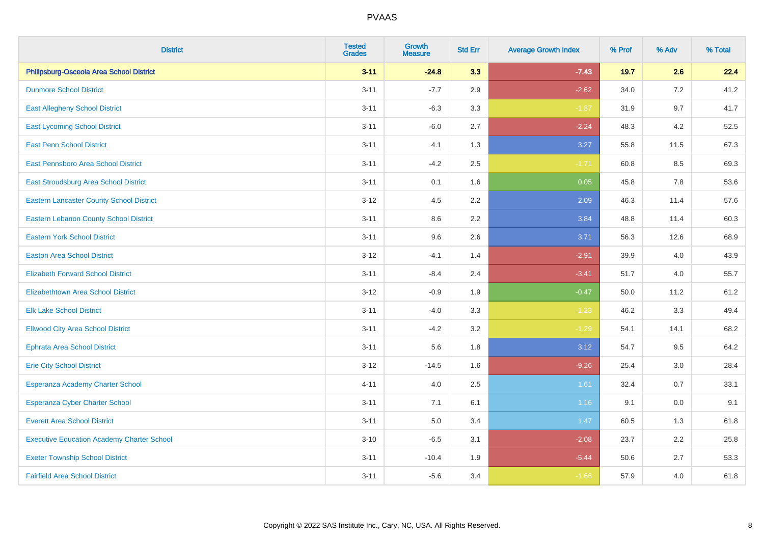| <b>District</b>                                   | <b>Tested</b><br><b>Grades</b> | <b>Growth</b><br><b>Measure</b> | <b>Std Err</b> | <b>Average Growth Index</b> | % Prof | % Adv | % Total |
|---------------------------------------------------|--------------------------------|---------------------------------|----------------|-----------------------------|--------|-------|---------|
| Philipsburg-Osceola Area School District          | $3 - 11$                       | $-24.8$                         | 3.3            | $-7.43$                     | 19.7   | 2.6   | 22.4    |
| <b>Dunmore School District</b>                    | $3 - 11$                       | $-7.7$                          | 2.9            | $-2.62$                     | 34.0   | 7.2   | 41.2    |
| <b>East Allegheny School District</b>             | $3 - 11$                       | $-6.3$                          | 3.3            | $-1.87$                     | 31.9   | 9.7   | 41.7    |
| <b>East Lycoming School District</b>              | $3 - 11$                       | $-6.0$                          | 2.7            | $-2.24$                     | 48.3   | 4.2   | 52.5    |
| <b>East Penn School District</b>                  | $3 - 11$                       | 4.1                             | 1.3            | 3.27                        | 55.8   | 11.5  | 67.3    |
| East Pennsboro Area School District               | $3 - 11$                       | $-4.2$                          | 2.5            | $-1.71$                     | 60.8   | 8.5   | 69.3    |
| <b>East Stroudsburg Area School District</b>      | $3 - 11$                       | 0.1                             | 1.6            | 0.05                        | 45.8   | 7.8   | 53.6    |
| <b>Eastern Lancaster County School District</b>   | $3 - 12$                       | 4.5                             | 2.2            | 2.09                        | 46.3   | 11.4  | 57.6    |
| <b>Eastern Lebanon County School District</b>     | $3 - 11$                       | 8.6                             | 2.2            | 3.84                        | 48.8   | 11.4  | 60.3    |
| <b>Eastern York School District</b>               | $3 - 11$                       | 9.6                             | 2.6            | 3.71                        | 56.3   | 12.6  | 68.9    |
| <b>Easton Area School District</b>                | $3 - 12$                       | $-4.1$                          | 1.4            | $-2.91$                     | 39.9   | 4.0   | 43.9    |
| <b>Elizabeth Forward School District</b>          | $3 - 11$                       | $-8.4$                          | 2.4            | $-3.41$                     | 51.7   | 4.0   | 55.7    |
| <b>Elizabethtown Area School District</b>         | $3 - 12$                       | $-0.9$                          | 1.9            | $-0.47$                     | 50.0   | 11.2  | 61.2    |
| <b>Elk Lake School District</b>                   | $3 - 11$                       | $-4.0$                          | 3.3            | $-1.23$                     | 46.2   | 3.3   | 49.4    |
| <b>Ellwood City Area School District</b>          | $3 - 11$                       | $-4.2$                          | 3.2            | $-1.29$                     | 54.1   | 14.1  | 68.2    |
| <b>Ephrata Area School District</b>               | $3 - 11$                       | 5.6                             | 1.8            | 3.12                        | 54.7   | 9.5   | 64.2    |
| <b>Erie City School District</b>                  | $3 - 12$                       | $-14.5$                         | 1.6            | $-9.26$                     | 25.4   | 3.0   | 28.4    |
| Esperanza Academy Charter School                  | $4 - 11$                       | 4.0                             | 2.5            | 1.61                        | 32.4   | 0.7   | 33.1    |
| <b>Esperanza Cyber Charter School</b>             | $3 - 11$                       | 7.1                             | 6.1            | 1.16                        | 9.1    | 0.0   | 9.1     |
| <b>Everett Area School District</b>               | $3 - 11$                       | 5.0                             | 3.4            | 1.47                        | 60.5   | 1.3   | 61.8    |
| <b>Executive Education Academy Charter School</b> | $3 - 10$                       | $-6.5$                          | 3.1            | $-2.08$                     | 23.7   | 2.2   | 25.8    |
| <b>Exeter Township School District</b>            | $3 - 11$                       | $-10.4$                         | 1.9            | $-5.44$                     | 50.6   | 2.7   | 53.3    |
| <b>Fairfield Area School District</b>             | $3 - 11$                       | $-5.6$                          | 3.4            | $-1.66$                     | 57.9   | 4.0   | 61.8    |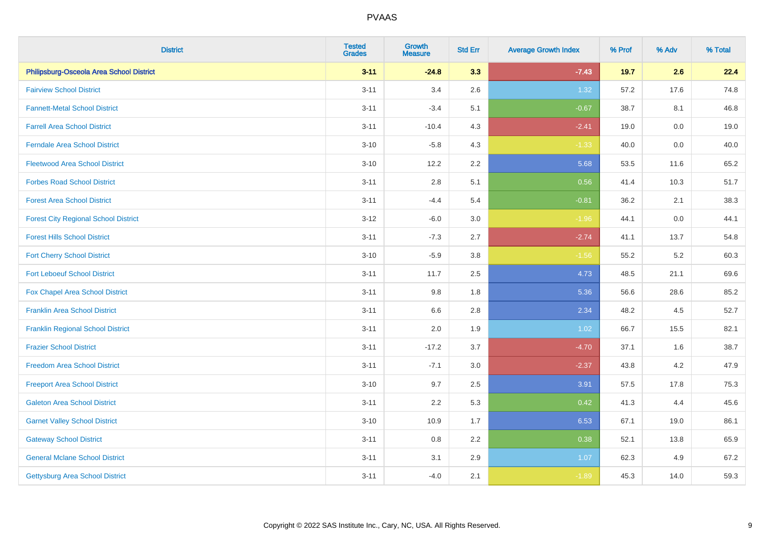| <b>District</b>                             | <b>Tested</b><br><b>Grades</b> | Growth<br><b>Measure</b> | <b>Std Err</b> | <b>Average Growth Index</b> | % Prof | % Adv | % Total |
|---------------------------------------------|--------------------------------|--------------------------|----------------|-----------------------------|--------|-------|---------|
| Philipsburg-Osceola Area School District    | $3 - 11$                       | $-24.8$                  | 3.3            | $-7.43$                     | 19.7   | 2.6   | 22.4    |
| <b>Fairview School District</b>             | $3 - 11$                       | 3.4                      | 2.6            | 1.32                        | 57.2   | 17.6  | 74.8    |
| <b>Fannett-Metal School District</b>        | $3 - 11$                       | $-3.4$                   | 5.1            | $-0.67$                     | 38.7   | 8.1   | 46.8    |
| <b>Farrell Area School District</b>         | $3 - 11$                       | $-10.4$                  | 4.3            | $-2.41$                     | 19.0   | 0.0   | 19.0    |
| <b>Ferndale Area School District</b>        | $3 - 10$                       | $-5.8$                   | 4.3            | $-1.33$                     | 40.0   | 0.0   | 40.0    |
| <b>Fleetwood Area School District</b>       | $3 - 10$                       | 12.2                     | 2.2            | 5.68                        | 53.5   | 11.6  | 65.2    |
| <b>Forbes Road School District</b>          | $3 - 11$                       | $2.8\,$                  | 5.1            | 0.56                        | 41.4   | 10.3  | 51.7    |
| <b>Forest Area School District</b>          | $3 - 11$                       | $-4.4$                   | 5.4            | $-0.81$                     | 36.2   | 2.1   | 38.3    |
| <b>Forest City Regional School District</b> | $3 - 12$                       | $-6.0$                   | 3.0            | $-1.96$                     | 44.1   | 0.0   | 44.1    |
| <b>Forest Hills School District</b>         | $3 - 11$                       | $-7.3$                   | 2.7            | $-2.74$                     | 41.1   | 13.7  | 54.8    |
| <b>Fort Cherry School District</b>          | $3 - 10$                       | $-5.9$                   | 3.8            | $-1.56$                     | 55.2   | 5.2   | 60.3    |
| <b>Fort Leboeuf School District</b>         | $3 - 11$                       | 11.7                     | 2.5            | 4.73                        | 48.5   | 21.1  | 69.6    |
| Fox Chapel Area School District             | $3 - 11$                       | 9.8                      | 1.8            | 5.36                        | 56.6   | 28.6  | 85.2    |
| <b>Franklin Area School District</b>        | $3 - 11$                       | 6.6                      | 2.8            | 2.34                        | 48.2   | 4.5   | 52.7    |
| <b>Franklin Regional School District</b>    | $3 - 11$                       | 2.0                      | 1.9            | 1.02                        | 66.7   | 15.5  | 82.1    |
| <b>Frazier School District</b>              | $3 - 11$                       | $-17.2$                  | 3.7            | $-4.70$                     | 37.1   | 1.6   | 38.7    |
| <b>Freedom Area School District</b>         | $3 - 11$                       | $-7.1$                   | 3.0            | $-2.37$                     | 43.8   | 4.2   | 47.9    |
| <b>Freeport Area School District</b>        | $3 - 10$                       | 9.7                      | 2.5            | 3.91                        | 57.5   | 17.8  | 75.3    |
| <b>Galeton Area School District</b>         | $3 - 11$                       | 2.2                      | 5.3            | 0.42                        | 41.3   | 4.4   | 45.6    |
| <b>Garnet Valley School District</b>        | $3 - 10$                       | 10.9                     | 1.7            | 6.53                        | 67.1   | 19.0  | 86.1    |
| <b>Gateway School District</b>              | $3 - 11$                       | 0.8                      | 2.2            | 0.38                        | 52.1   | 13.8  | 65.9    |
| <b>General Mclane School District</b>       | $3 - 11$                       | 3.1                      | 2.9            | 1.07                        | 62.3   | 4.9   | 67.2    |
| Gettysburg Area School District             | $3 - 11$                       | $-4.0$                   | 2.1            | $-1.89$                     | 45.3   | 14.0  | 59.3    |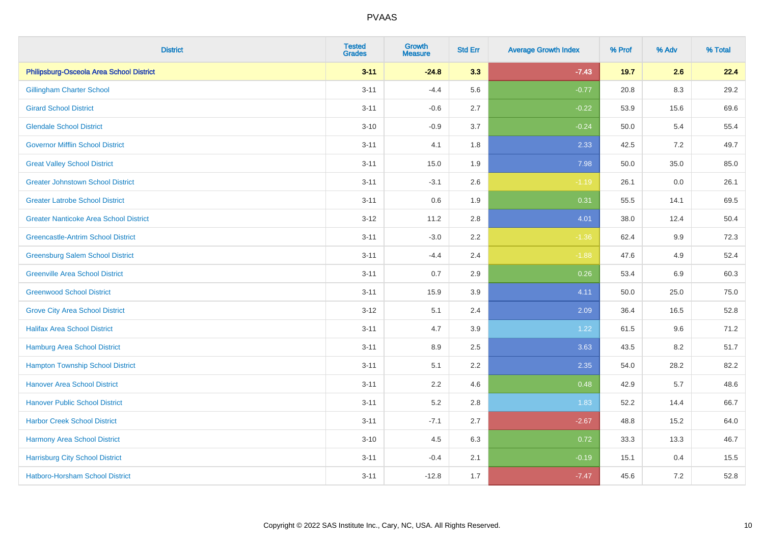| <b>District</b>                               | <b>Tested</b><br><b>Grades</b> | Growth<br><b>Measure</b> | <b>Std Err</b> | <b>Average Growth Index</b> | % Prof | % Adv   | % Total |
|-----------------------------------------------|--------------------------------|--------------------------|----------------|-----------------------------|--------|---------|---------|
| Philipsburg-Osceola Area School District      | $3 - 11$                       | $-24.8$                  | 3.3            | $-7.43$                     | 19.7   | 2.6     | 22.4    |
| <b>Gillingham Charter School</b>              | $3 - 11$                       | $-4.4$                   | 5.6            | $-0.77$                     | 20.8   | 8.3     | 29.2    |
| <b>Girard School District</b>                 | $3 - 11$                       | $-0.6$                   | 2.7            | $-0.22$                     | 53.9   | 15.6    | 69.6    |
| <b>Glendale School District</b>               | $3 - 10$                       | $-0.9$                   | 3.7            | $-0.24$                     | 50.0   | 5.4     | 55.4    |
| <b>Governor Mifflin School District</b>       | $3 - 11$                       | 4.1                      | 1.8            | 2.33                        | 42.5   | 7.2     | 49.7    |
| <b>Great Valley School District</b>           | $3 - 11$                       | 15.0                     | 1.9            | 7.98                        | 50.0   | 35.0    | 85.0    |
| <b>Greater Johnstown School District</b>      | $3 - 11$                       | $-3.1$                   | 2.6            | $-1.19$                     | 26.1   | $0.0\,$ | 26.1    |
| <b>Greater Latrobe School District</b>        | $3 - 11$                       | 0.6                      | 1.9            | 0.31                        | 55.5   | 14.1    | 69.5    |
| <b>Greater Nanticoke Area School District</b> | $3 - 12$                       | 11.2                     | 2.8            | 4.01                        | 38.0   | 12.4    | 50.4    |
| <b>Greencastle-Antrim School District</b>     | $3 - 11$                       | $-3.0$                   | $2.2\,$        | $-1.36$                     | 62.4   | 9.9     | 72.3    |
| <b>Greensburg Salem School District</b>       | $3 - 11$                       | $-4.4$                   | 2.4            | $-1.88$                     | 47.6   | 4.9     | 52.4    |
| <b>Greenville Area School District</b>        | $3 - 11$                       | 0.7                      | 2.9            | 0.26                        | 53.4   | 6.9     | 60.3    |
| <b>Greenwood School District</b>              | $3 - 11$                       | 15.9                     | 3.9            | 4.11                        | 50.0   | 25.0    | 75.0    |
| <b>Grove City Area School District</b>        | $3 - 12$                       | 5.1                      | 2.4            | 2.09                        | 36.4   | 16.5    | 52.8    |
| <b>Halifax Area School District</b>           | $3 - 11$                       | 4.7                      | 3.9            | 1.22                        | 61.5   | 9.6     | 71.2    |
| <b>Hamburg Area School District</b>           | $3 - 11$                       | 8.9                      | 2.5            | 3.63                        | 43.5   | 8.2     | 51.7    |
| <b>Hampton Township School District</b>       | $3 - 11$                       | 5.1                      | 2.2            | 2.35                        | 54.0   | 28.2    | 82.2    |
| <b>Hanover Area School District</b>           | $3 - 11$                       | 2.2                      | 4.6            | 0.48                        | 42.9   | 5.7     | 48.6    |
| <b>Hanover Public School District</b>         | $3 - 11$                       | 5.2                      | 2.8            | 1.83                        | 52.2   | 14.4    | 66.7    |
| <b>Harbor Creek School District</b>           | $3 - 11$                       | $-7.1$                   | 2.7            | $-2.67$                     | 48.8   | 15.2    | 64.0    |
| Harmony Area School District                  | $3 - 10$                       | 4.5                      | 6.3            | 0.72                        | 33.3   | 13.3    | 46.7    |
| <b>Harrisburg City School District</b>        | $3 - 11$                       | $-0.4$                   | 2.1            | $-0.19$                     | 15.1   | 0.4     | 15.5    |
| Hatboro-Horsham School District               | $3 - 11$                       | $-12.8$                  | 1.7            | $-7.47$                     | 45.6   | 7.2     | 52.8    |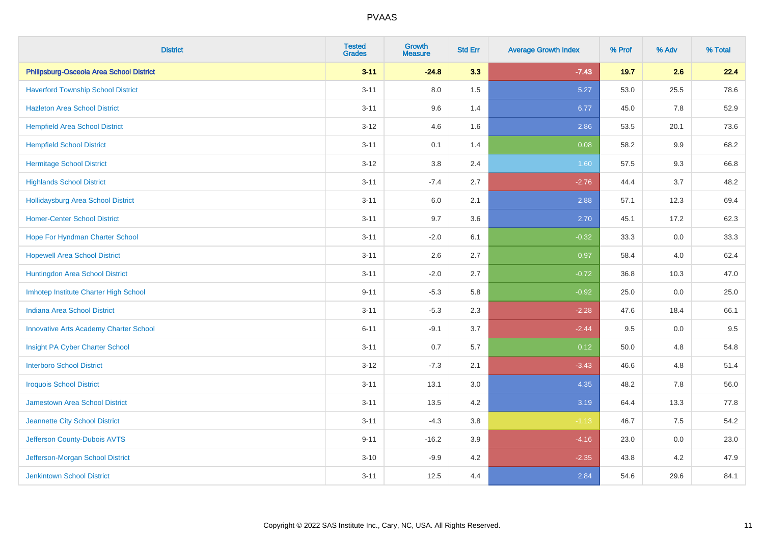| <b>District</b>                               | <b>Tested</b><br><b>Grades</b> | <b>Growth</b><br><b>Measure</b> | <b>Std Err</b> | <b>Average Growth Index</b> | % Prof | % Adv | % Total |
|-----------------------------------------------|--------------------------------|---------------------------------|----------------|-----------------------------|--------|-------|---------|
| Philipsburg-Osceola Area School District      | $3 - 11$                       | $-24.8$                         | 3.3            | $-7.43$                     | 19.7   | 2.6   | 22.4    |
| <b>Haverford Township School District</b>     | $3 - 11$                       | $8.0\,$                         | 1.5            | 5.27                        | 53.0   | 25.5  | 78.6    |
| <b>Hazleton Area School District</b>          | $3 - 11$                       | 9.6                             | 1.4            | 6.77                        | 45.0   | 7.8   | 52.9    |
| <b>Hempfield Area School District</b>         | $3 - 12$                       | 4.6                             | 1.6            | 2.86                        | 53.5   | 20.1  | 73.6    |
| <b>Hempfield School District</b>              | $3 - 11$                       | 0.1                             | 1.4            | 0.08                        | 58.2   | 9.9   | 68.2    |
| <b>Hermitage School District</b>              | $3 - 12$                       | 3.8                             | 2.4            | 1.60                        | 57.5   | 9.3   | 66.8    |
| <b>Highlands School District</b>              | $3 - 11$                       | $-7.4$                          | 2.7            | $-2.76$                     | 44.4   | 3.7   | 48.2    |
| <b>Hollidaysburg Area School District</b>     | $3 - 11$                       | 6.0                             | 2.1            | 2.88                        | 57.1   | 12.3  | 69.4    |
| <b>Homer-Center School District</b>           | $3 - 11$                       | 9.7                             | 3.6            | 2.70                        | 45.1   | 17.2  | 62.3    |
| Hope For Hyndman Charter School               | $3 - 11$                       | $-2.0$                          | 6.1            | $-0.32$                     | 33.3   | 0.0   | 33.3    |
| <b>Hopewell Area School District</b>          | $3 - 11$                       | 2.6                             | 2.7            | 0.97                        | 58.4   | 4.0   | 62.4    |
| Huntingdon Area School District               | $3 - 11$                       | $-2.0$                          | 2.7            | $-0.72$                     | 36.8   | 10.3  | 47.0    |
| Imhotep Institute Charter High School         | $9 - 11$                       | $-5.3$                          | 5.8            | $-0.92$                     | 25.0   | 0.0   | 25.0    |
| <b>Indiana Area School District</b>           | $3 - 11$                       | $-5.3$                          | 2.3            | $-2.28$                     | 47.6   | 18.4  | 66.1    |
| <b>Innovative Arts Academy Charter School</b> | $6 - 11$                       | $-9.1$                          | 3.7            | $-2.44$                     | 9.5    | 0.0   | 9.5     |
| Insight PA Cyber Charter School               | $3 - 11$                       | 0.7                             | 5.7            | 0.12                        | 50.0   | 4.8   | 54.8    |
| <b>Interboro School District</b>              | $3 - 12$                       | $-7.3$                          | 2.1            | $-3.43$                     | 46.6   | 4.8   | 51.4    |
| <b>Iroquois School District</b>               | $3 - 11$                       | 13.1                            | 3.0            | 4.35                        | 48.2   | 7.8   | 56.0    |
| <b>Jamestown Area School District</b>         | $3 - 11$                       | 13.5                            | 4.2            | 3.19                        | 64.4   | 13.3  | 77.8    |
| Jeannette City School District                | $3 - 11$                       | $-4.3$                          | 3.8            | $-1.13$                     | 46.7   | 7.5   | 54.2    |
| Jefferson County-Dubois AVTS                  | $9 - 11$                       | $-16.2$                         | 3.9            | $-4.16$                     | 23.0   | 0.0   | 23.0    |
| Jefferson-Morgan School District              | $3 - 10$                       | $-9.9$                          | 4.2            | $-2.35$                     | 43.8   | 4.2   | 47.9    |
| <b>Jenkintown School District</b>             | $3 - 11$                       | 12.5                            | 4.4            | 2.84                        | 54.6   | 29.6  | 84.1    |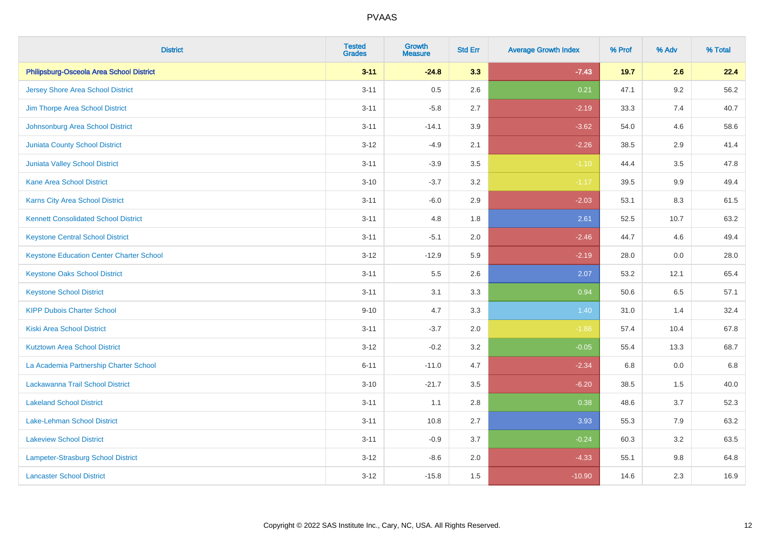| <b>District</b>                                 | <b>Tested</b><br><b>Grades</b> | <b>Growth</b><br><b>Measure</b> | <b>Std Err</b> | <b>Average Growth Index</b> | % Prof | % Adv   | % Total |
|-------------------------------------------------|--------------------------------|---------------------------------|----------------|-----------------------------|--------|---------|---------|
| Philipsburg-Osceola Area School District        | $3 - 11$                       | $-24.8$                         | 3.3            | $-7.43$                     | 19.7   | 2.6     | 22.4    |
| <b>Jersey Shore Area School District</b>        | $3 - 11$                       | 0.5                             | 2.6            | 0.21                        | 47.1   | $9.2\,$ | 56.2    |
| Jim Thorpe Area School District                 | $3 - 11$                       | $-5.8$                          | 2.7            | $-2.19$                     | 33.3   | 7.4     | 40.7    |
| Johnsonburg Area School District                | $3 - 11$                       | $-14.1$                         | 3.9            | $-3.62$                     | 54.0   | 4.6     | 58.6    |
| Juniata County School District                  | $3 - 12$                       | $-4.9$                          | 2.1            | $-2.26$                     | 38.5   | 2.9     | 41.4    |
| Juniata Valley School District                  | $3 - 11$                       | $-3.9$                          | 3.5            | $-1.10$                     | 44.4   | 3.5     | 47.8    |
| <b>Kane Area School District</b>                | $3 - 10$                       | $-3.7$                          | 3.2            | $-1.17$                     | 39.5   | 9.9     | 49.4    |
| <b>Karns City Area School District</b>          | $3 - 11$                       | $-6.0$                          | 2.9            | $-2.03$                     | 53.1   | 8.3     | 61.5    |
| <b>Kennett Consolidated School District</b>     | $3 - 11$                       | 4.8                             | 1.8            | 2.61                        | 52.5   | 10.7    | 63.2    |
| <b>Keystone Central School District</b>         | $3 - 11$                       | $-5.1$                          | 2.0            | $-2.46$                     | 44.7   | 4.6     | 49.4    |
| <b>Keystone Education Center Charter School</b> | $3 - 12$                       | $-12.9$                         | 5.9            | $-2.19$                     | 28.0   | 0.0     | 28.0    |
| <b>Keystone Oaks School District</b>            | $3 - 11$                       | 5.5                             | 2.6            | 2.07                        | 53.2   | 12.1    | 65.4    |
| <b>Keystone School District</b>                 | $3 - 11$                       | 3.1                             | 3.3            | 0.94                        | 50.6   | 6.5     | 57.1    |
| <b>KIPP Dubois Charter School</b>               | $9 - 10$                       | 4.7                             | 3.3            | 1.40                        | 31.0   | 1.4     | 32.4    |
| <b>Kiski Area School District</b>               | $3 - 11$                       | $-3.7$                          | 2.0            | $-1.86$                     | 57.4   | 10.4    | 67.8    |
| <b>Kutztown Area School District</b>            | $3 - 12$                       | $-0.2$                          | 3.2            | $-0.05$                     | 55.4   | 13.3    | 68.7    |
| La Academia Partnership Charter School          | $6 - 11$                       | $-11.0$                         | 4.7            | $-2.34$                     | 6.8    | 0.0     | 6.8     |
| Lackawanna Trail School District                | $3 - 10$                       | $-21.7$                         | 3.5            | $-6.20$                     | 38.5   | 1.5     | 40.0    |
| <b>Lakeland School District</b>                 | $3 - 11$                       | 1.1                             | 2.8            | 0.38                        | 48.6   | 3.7     | 52.3    |
| Lake-Lehman School District                     | $3 - 11$                       | 10.8                            | 2.7            | 3.93                        | 55.3   | 7.9     | 63.2    |
| <b>Lakeview School District</b>                 | $3 - 11$                       | $-0.9$                          | 3.7            | $-0.24$                     | 60.3   | 3.2     | 63.5    |
| Lampeter-Strasburg School District              | $3 - 12$                       | $-8.6$                          | 2.0            | $-4.33$                     | 55.1   | $9.8\,$ | 64.8    |
| <b>Lancaster School District</b>                | $3 - 12$                       | $-15.8$                         | 1.5            | $-10.90$                    | 14.6   | 2.3     | 16.9    |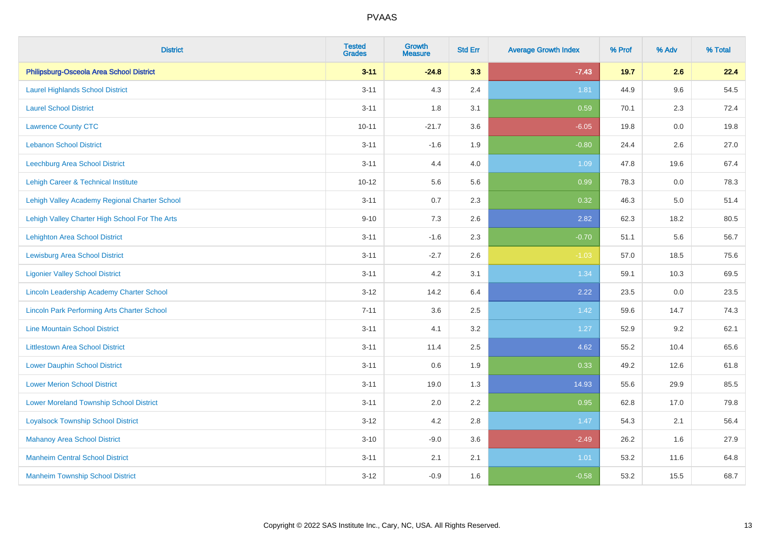| <b>District</b>                                    | <b>Tested</b><br><b>Grades</b> | <b>Growth</b><br><b>Measure</b> | <b>Std Err</b> | <b>Average Growth Index</b> | % Prof | % Adv   | % Total |
|----------------------------------------------------|--------------------------------|---------------------------------|----------------|-----------------------------|--------|---------|---------|
| Philipsburg-Osceola Area School District           | $3 - 11$                       | $-24.8$                         | 3.3            | $-7.43$                     | 19.7   | 2.6     | 22.4    |
| <b>Laurel Highlands School District</b>            | $3 - 11$                       | 4.3                             | 2.4            | 1.81                        | 44.9   | 9.6     | 54.5    |
| <b>Laurel School District</b>                      | $3 - 11$                       | 1.8                             | 3.1            | 0.59                        | 70.1   | 2.3     | 72.4    |
| <b>Lawrence County CTC</b>                         | $10 - 11$                      | $-21.7$                         | 3.6            | $-6.05$                     | 19.8   | $0.0\,$ | 19.8    |
| <b>Lebanon School District</b>                     | $3 - 11$                       | $-1.6$                          | 1.9            | $-0.80$                     | 24.4   | 2.6     | 27.0    |
| <b>Leechburg Area School District</b>              | $3 - 11$                       | 4.4                             | 4.0            | 1.09                        | 47.8   | 19.6    | 67.4    |
| Lehigh Career & Technical Institute                | $10 - 12$                      | 5.6                             | 5.6            | 0.99                        | 78.3   | 0.0     | 78.3    |
| Lehigh Valley Academy Regional Charter School      | $3 - 11$                       | 0.7                             | 2.3            | 0.32                        | 46.3   | 5.0     | 51.4    |
| Lehigh Valley Charter High School For The Arts     | $9 - 10$                       | 7.3                             | 2.6            | 2.82                        | 62.3   | 18.2    | 80.5    |
| <b>Lehighton Area School District</b>              | $3 - 11$                       | $-1.6$                          | 2.3            | $-0.70$                     | 51.1   | 5.6     | 56.7    |
| <b>Lewisburg Area School District</b>              | $3 - 11$                       | $-2.7$                          | 2.6            | $-1.03$                     | 57.0   | 18.5    | 75.6    |
| <b>Ligonier Valley School District</b>             | $3 - 11$                       | 4.2                             | 3.1            | 1.34                        | 59.1   | 10.3    | 69.5    |
| Lincoln Leadership Academy Charter School          | $3 - 12$                       | 14.2                            | 6.4            | 2.22                        | 23.5   | 0.0     | 23.5    |
| <b>Lincoln Park Performing Arts Charter School</b> | $7 - 11$                       | 3.6                             | 2.5            | 1.42                        | 59.6   | 14.7    | 74.3    |
| <b>Line Mountain School District</b>               | $3 - 11$                       | 4.1                             | 3.2            | 1.27                        | 52.9   | 9.2     | 62.1    |
| <b>Littlestown Area School District</b>            | $3 - 11$                       | 11.4                            | 2.5            | 4.62                        | 55.2   | 10.4    | 65.6    |
| <b>Lower Dauphin School District</b>               | $3 - 11$                       | 0.6                             | 1.9            | 0.33                        | 49.2   | 12.6    | 61.8    |
| <b>Lower Merion School District</b>                | $3 - 11$                       | 19.0                            | 1.3            | 14.93                       | 55.6   | 29.9    | 85.5    |
| <b>Lower Moreland Township School District</b>     | $3 - 11$                       | 2.0                             | 2.2            | 0.95                        | 62.8   | 17.0    | 79.8    |
| <b>Loyalsock Township School District</b>          | $3 - 12$                       | 4.2                             | 2.8            | 1.47                        | 54.3   | 2.1     | 56.4    |
| <b>Mahanoy Area School District</b>                | $3 - 10$                       | $-9.0$                          | 3.6            | $-2.49$                     | 26.2   | 1.6     | 27.9    |
| <b>Manheim Central School District</b>             | $3 - 11$                       | 2.1                             | 2.1            | 1.01                        | 53.2   | 11.6    | 64.8    |
| <b>Manheim Township School District</b>            | $3 - 12$                       | $-0.9$                          | 1.6            | $-0.58$                     | 53.2   | 15.5    | 68.7    |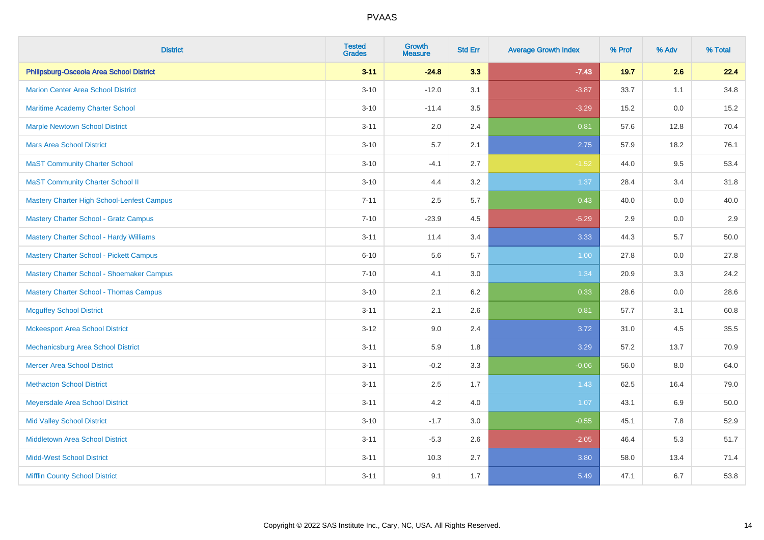| <b>District</b>                                | <b>Tested</b><br><b>Grades</b> | <b>Growth</b><br><b>Measure</b> | <b>Std Err</b> | <b>Average Growth Index</b> | % Prof | % Adv | % Total |
|------------------------------------------------|--------------------------------|---------------------------------|----------------|-----------------------------|--------|-------|---------|
| Philipsburg-Osceola Area School District       | $3 - 11$                       | $-24.8$                         | 3.3            | $-7.43$                     | 19.7   | 2.6   | 22.4    |
| <b>Marion Center Area School District</b>      | $3 - 10$                       | $-12.0$                         | 3.1            | $-3.87$                     | 33.7   | 1.1   | 34.8    |
| <b>Maritime Academy Charter School</b>         | $3 - 10$                       | $-11.4$                         | 3.5            | $-3.29$                     | 15.2   | 0.0   | 15.2    |
| <b>Marple Newtown School District</b>          | $3 - 11$                       | 2.0                             | 2.4            | 0.81                        | 57.6   | 12.8  | 70.4    |
| <b>Mars Area School District</b>               | $3 - 10$                       | 5.7                             | 2.1            | 2.75                        | 57.9   | 18.2  | 76.1    |
| <b>MaST Community Charter School</b>           | $3 - 10$                       | $-4.1$                          | 2.7            | $-1.52$                     | 44.0   | 9.5   | 53.4    |
| <b>MaST Community Charter School II</b>        | $3 - 10$                       | 4.4                             | 3.2            | 1.37                        | 28.4   | 3.4   | 31.8    |
| Mastery Charter High School-Lenfest Campus     | $7 - 11$                       | 2.5                             | 5.7            | 0.43                        | 40.0   | 0.0   | 40.0    |
| <b>Mastery Charter School - Gratz Campus</b>   | $7 - 10$                       | $-23.9$                         | 4.5            | $-5.29$                     | 2.9    | 0.0   | $2.9\,$ |
| <b>Mastery Charter School - Hardy Williams</b> | $3 - 11$                       | 11.4                            | 3.4            | 3.33                        | 44.3   | 5.7   | 50.0    |
| <b>Mastery Charter School - Pickett Campus</b> | $6 - 10$                       | 5.6                             | 5.7            | 1.00                        | 27.8   | 0.0   | 27.8    |
| Mastery Charter School - Shoemaker Campus      | $7 - 10$                       | 4.1                             | 3.0            | 1.34                        | 20.9   | 3.3   | 24.2    |
| <b>Mastery Charter School - Thomas Campus</b>  | $3 - 10$                       | 2.1                             | 6.2            | 0.33                        | 28.6   | 0.0   | 28.6    |
| <b>Mcguffey School District</b>                | $3 - 11$                       | 2.1                             | 2.6            | 0.81                        | 57.7   | 3.1   | 60.8    |
| <b>Mckeesport Area School District</b>         | $3 - 12$                       | 9.0                             | 2.4            | 3.72                        | 31.0   | 4.5   | 35.5    |
| Mechanicsburg Area School District             | $3 - 11$                       | 5.9                             | 1.8            | 3.29                        | 57.2   | 13.7  | 70.9    |
| <b>Mercer Area School District</b>             | $3 - 11$                       | $-0.2$                          | 3.3            | $-0.06$                     | 56.0   | 8.0   | 64.0    |
| <b>Methacton School District</b>               | $3 - 11$                       | 2.5                             | 1.7            | 1.43                        | 62.5   | 16.4  | 79.0    |
| Meyersdale Area School District                | $3 - 11$                       | 4.2                             | 4.0            | 1.07                        | 43.1   | 6.9   | 50.0    |
| <b>Mid Valley School District</b>              | $3 - 10$                       | $-1.7$                          | 3.0            | $-0.55$                     | 45.1   | 7.8   | 52.9    |
| <b>Middletown Area School District</b>         | $3 - 11$                       | $-5.3$                          | 2.6            | $-2.05$                     | 46.4   | 5.3   | 51.7    |
| <b>Midd-West School District</b>               | $3 - 11$                       | 10.3                            | 2.7            | 3.80                        | 58.0   | 13.4  | 71.4    |
| <b>Mifflin County School District</b>          | $3 - 11$                       | 9.1                             | 1.7            | 5.49                        | 47.1   | 6.7   | 53.8    |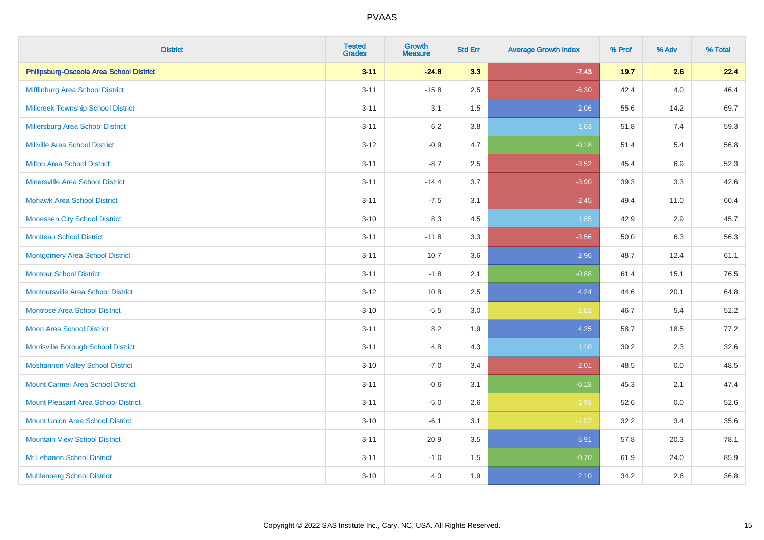| <b>District</b>                            | <b>Tested</b><br><b>Grades</b> | <b>Growth</b><br><b>Measure</b> | <b>Std Err</b> | <b>Average Growth Index</b> | % Prof | % Adv   | % Total |
|--------------------------------------------|--------------------------------|---------------------------------|----------------|-----------------------------|--------|---------|---------|
| Philipsburg-Osceola Area School District   | $3 - 11$                       | $-24.8$                         | 3.3            | $-7.43$                     | 19.7   | 2.6     | 22.4    |
| Mifflinburg Area School District           | $3 - 11$                       | $-15.8$                         | 2.5            | $-6.30$                     | 42.4   | $4.0\,$ | 46.4    |
| <b>Millcreek Township School District</b>  | $3 - 11$                       | 3.1                             | 1.5            | 2.06                        | 55.6   | 14.2    | 69.7    |
| <b>Millersburg Area School District</b>    | $3 - 11$                       | 6.2                             | 3.8            | 1.63                        | 51.8   | 7.4     | 59.3    |
| <b>Millville Area School District</b>      | $3 - 12$                       | $-0.9$                          | 4.7            | $-0.18$                     | 51.4   | 5.4     | 56.8    |
| <b>Milton Area School District</b>         | $3 - 11$                       | $-8.7$                          | 2.5            | $-3.52$                     | 45.4   | $6.9\,$ | 52.3    |
| <b>Minersville Area School District</b>    | $3 - 11$                       | $-14.4$                         | 3.7            | $-3.90$                     | 39.3   | 3.3     | 42.6    |
| <b>Mohawk Area School District</b>         | $3 - 11$                       | $-7.5$                          | 3.1            | $-2.45$                     | 49.4   | 11.0    | 60.4    |
| <b>Monessen City School District</b>       | $3 - 10$                       | 8.3                             | 4.5            | 1.85                        | 42.9   | 2.9     | 45.7    |
| <b>Moniteau School District</b>            | $3 - 11$                       | $-11.8$                         | 3.3            | $-3.56$                     | 50.0   | 6.3     | 56.3    |
| <b>Montgomery Area School District</b>     | $3 - 11$                       | 10.7                            | 3.6            | 2.96                        | 48.7   | 12.4    | 61.1    |
| <b>Montour School District</b>             | $3 - 11$                       | $-1.8$                          | 2.1            | $-0.88$                     | 61.4   | 15.1    | 76.5    |
| <b>Montoursville Area School District</b>  | $3 - 12$                       | 10.8                            | 2.5            | 4.24                        | 44.6   | 20.1    | 64.8    |
| <b>Montrose Area School District</b>       | $3 - 10$                       | $-5.5$                          | 3.0            | $-1.82$                     | 46.7   | 5.4     | 52.2    |
| Moon Area School District                  | $3 - 11$                       | 8.2                             | 1.9            | 4.25                        | 58.7   | 18.5    | 77.2    |
| Morrisville Borough School District        | $3 - 11$                       | 4.8                             | 4.3            | 1.10                        | 30.2   | 2.3     | 32.6    |
| <b>Moshannon Valley School District</b>    | $3 - 10$                       | $-7.0$                          | 3.4            | $-2.01$                     | 48.5   | 0.0     | 48.5    |
| <b>Mount Carmel Area School District</b>   | $3 - 11$                       | $-0.6$                          | 3.1            | $-0.18$                     | 45.3   | 2.1     | 47.4    |
| <b>Mount Pleasant Area School District</b> | $3 - 11$                       | $-5.0$                          | 2.6            | $-1.93$                     | 52.6   | 0.0     | 52.6    |
| <b>Mount Union Area School District</b>    | $3 - 10$                       | $-6.1$                          | 3.1            | $-1.97$                     | 32.2   | 3.4     | 35.6    |
| <b>Mountain View School District</b>       | $3 - 11$                       | 20.9                            | 3.5            | 5.91                        | 57.8   | 20.3    | 78.1    |
| Mt Lebanon School District                 | $3 - 11$                       | $-1.0$                          | 1.5            | $-0.70$                     | 61.9   | 24.0    | 85.9    |
| <b>Muhlenberg School District</b>          | $3 - 10$                       | 4.0                             | 1.9            | 2.10                        | 34.2   | 2.6     | 36.8    |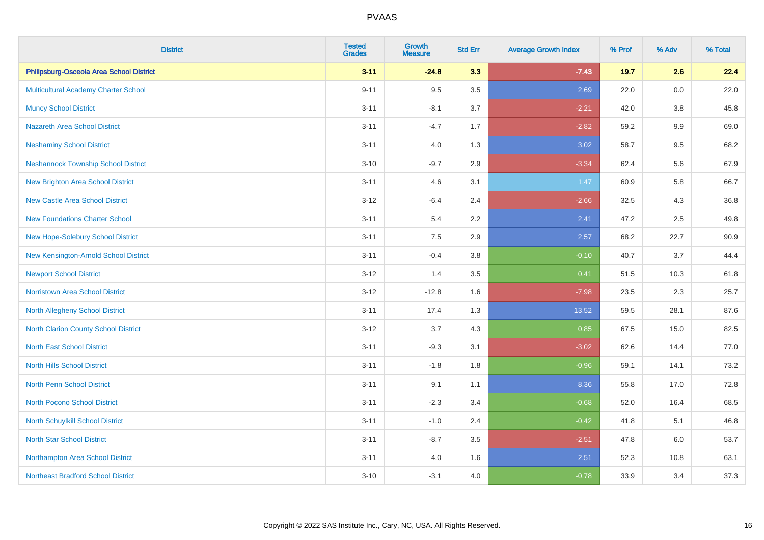| <b>District</b>                             | <b>Tested</b><br><b>Grades</b> | <b>Growth</b><br><b>Measure</b> | <b>Std Err</b> | <b>Average Growth Index</b> | % Prof | % Adv   | % Total |
|---------------------------------------------|--------------------------------|---------------------------------|----------------|-----------------------------|--------|---------|---------|
| Philipsburg-Osceola Area School District    | $3 - 11$                       | $-24.8$                         | 3.3            | $-7.43$                     | 19.7   | 2.6     | 22.4    |
| <b>Multicultural Academy Charter School</b> | $9 - 11$                       | 9.5                             | 3.5            | 2.69                        | 22.0   | $0.0\,$ | 22.0    |
| <b>Muncy School District</b>                | $3 - 11$                       | $-8.1$                          | 3.7            | $-2.21$                     | 42.0   | 3.8     | 45.8    |
| <b>Nazareth Area School District</b>        | $3 - 11$                       | $-4.7$                          | 1.7            | $-2.82$                     | 59.2   | $9.9\,$ | 69.0    |
| <b>Neshaminy School District</b>            | $3 - 11$                       | 4.0                             | 1.3            | 3.02                        | 58.7   | 9.5     | 68.2    |
| <b>Neshannock Township School District</b>  | $3 - 10$                       | $-9.7$                          | 2.9            | $-3.34$                     | 62.4   | 5.6     | 67.9    |
| <b>New Brighton Area School District</b>    | $3 - 11$                       | 4.6                             | 3.1            | 1.47                        | 60.9   | 5.8     | 66.7    |
| <b>New Castle Area School District</b>      | $3 - 12$                       | $-6.4$                          | 2.4            | $-2.66$                     | 32.5   | 4.3     | 36.8    |
| <b>New Foundations Charter School</b>       | $3 - 11$                       | 5.4                             | 2.2            | 2.41                        | 47.2   | 2.5     | 49.8    |
| New Hope-Solebury School District           | $3 - 11$                       | 7.5                             | 2.9            | 2.57                        | 68.2   | 22.7    | 90.9    |
| New Kensington-Arnold School District       | $3 - 11$                       | $-0.4$                          | 3.8            | $-0.10$                     | 40.7   | 3.7     | 44.4    |
| <b>Newport School District</b>              | $3 - 12$                       | 1.4                             | 3.5            | 0.41                        | 51.5   | 10.3    | 61.8    |
| Norristown Area School District             | $3 - 12$                       | $-12.8$                         | 1.6            | $-7.98$                     | 23.5   | $2.3\,$ | 25.7    |
| North Allegheny School District             | $3 - 11$                       | 17.4                            | 1.3            | 13.52                       | 59.5   | 28.1    | 87.6    |
| North Clarion County School District        | $3 - 12$                       | 3.7                             | 4.3            | 0.85                        | 67.5   | 15.0    | 82.5    |
| <b>North East School District</b>           | $3 - 11$                       | $-9.3$                          | 3.1            | $-3.02$                     | 62.6   | 14.4    | 77.0    |
| <b>North Hills School District</b>          | $3 - 11$                       | $-1.8$                          | 1.8            | $-0.96$                     | 59.1   | 14.1    | 73.2    |
| North Penn School District                  | $3 - 11$                       | 9.1                             | 1.1            | 8.36                        | 55.8   | 17.0    | 72.8    |
| <b>North Pocono School District</b>         | $3 - 11$                       | $-2.3$                          | 3.4            | $-0.68$                     | 52.0   | 16.4    | 68.5    |
| North Schuylkill School District            | $3 - 11$                       | $-1.0$                          | 2.4            | $-0.42$                     | 41.8   | 5.1     | 46.8    |
| <b>North Star School District</b>           | $3 - 11$                       | $-8.7$                          | 3.5            | $-2.51$                     | 47.8   | 6.0     | 53.7    |
| Northampton Area School District            | $3 - 11$                       | 4.0                             | 1.6            | 2.51                        | 52.3   | 10.8    | 63.1    |
| <b>Northeast Bradford School District</b>   | $3 - 10$                       | $-3.1$                          | 4.0            | $-0.78$                     | 33.9   | 3.4     | 37.3    |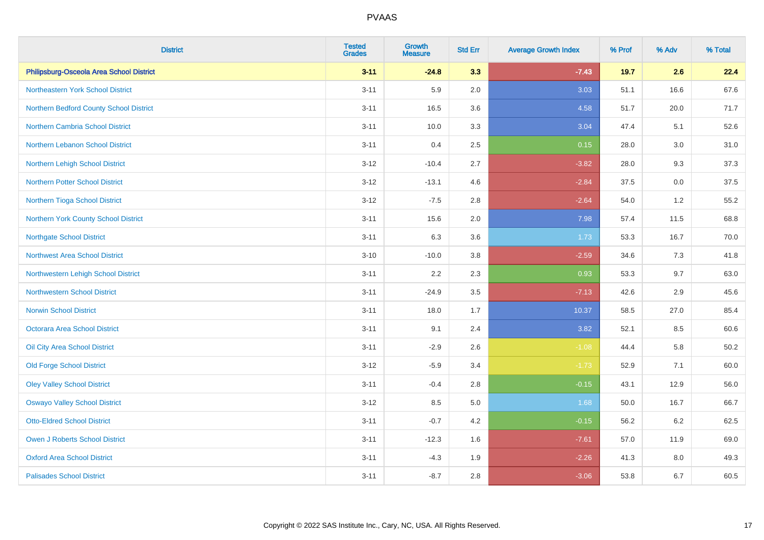| <b>District</b>                          | <b>Tested</b><br><b>Grades</b> | <b>Growth</b><br><b>Measure</b> | <b>Std Err</b> | <b>Average Growth Index</b> | % Prof | % Adv | % Total |
|------------------------------------------|--------------------------------|---------------------------------|----------------|-----------------------------|--------|-------|---------|
| Philipsburg-Osceola Area School District | $3 - 11$                       | $-24.8$                         | 3.3            | $-7.43$                     | 19.7   | 2.6   | 22.4    |
| Northeastern York School District        | $3 - 11$                       | 5.9                             | 2.0            | 3.03                        | 51.1   | 16.6  | 67.6    |
| Northern Bedford County School District  | $3 - 11$                       | 16.5                            | 3.6            | 4.58                        | 51.7   | 20.0  | 71.7    |
| <b>Northern Cambria School District</b>  | $3 - 11$                       | 10.0                            | 3.3            | 3.04                        | 47.4   | 5.1   | 52.6    |
| Northern Lebanon School District         | $3 - 11$                       | 0.4                             | 2.5            | 0.15                        | 28.0   | 3.0   | 31.0    |
| Northern Lehigh School District          | $3 - 12$                       | $-10.4$                         | 2.7            | $-3.82$                     | 28.0   | 9.3   | 37.3    |
| <b>Northern Potter School District</b>   | $3 - 12$                       | $-13.1$                         | 4.6            | $-2.84$                     | 37.5   | 0.0   | 37.5    |
| Northern Tioga School District           | $3 - 12$                       | $-7.5$                          | 2.8            | $-2.64$                     | 54.0   | 1.2   | 55.2    |
| Northern York County School District     | $3 - 11$                       | 15.6                            | 2.0            | 7.98                        | 57.4   | 11.5  | 68.8    |
| <b>Northgate School District</b>         | $3 - 11$                       | 6.3                             | 3.6            | 1.73                        | 53.3   | 16.7  | 70.0    |
| Northwest Area School District           | $3 - 10$                       | $-10.0$                         | 3.8            | $-2.59$                     | 34.6   | 7.3   | 41.8    |
| Northwestern Lehigh School District      | $3 - 11$                       | 2.2                             | 2.3            | 0.93                        | 53.3   | 9.7   | 63.0    |
| <b>Northwestern School District</b>      | $3 - 11$                       | $-24.9$                         | 3.5            | $-7.13$                     | 42.6   | 2.9   | 45.6    |
| <b>Norwin School District</b>            | $3 - 11$                       | 18.0                            | 1.7            | 10.37                       | 58.5   | 27.0  | 85.4    |
| Octorara Area School District            | $3 - 11$                       | 9.1                             | 2.4            | 3.82                        | 52.1   | 8.5   | 60.6    |
| Oil City Area School District            | $3 - 11$                       | $-2.9$                          | 2.6            | $-1.08$                     | 44.4   | 5.8   | 50.2    |
| <b>Old Forge School District</b>         | $3 - 12$                       | $-5.9$                          | 3.4            | $-1.73$                     | 52.9   | 7.1   | 60.0    |
| <b>Oley Valley School District</b>       | $3 - 11$                       | $-0.4$                          | 2.8            | $-0.15$                     | 43.1   | 12.9  | 56.0    |
| <b>Oswayo Valley School District</b>     | $3 - 12$                       | 8.5                             | $5.0\,$        | 1.68                        | 50.0   | 16.7  | 66.7    |
| <b>Otto-Eldred School District</b>       | $3 - 11$                       | $-0.7$                          | 4.2            | $-0.15$                     | 56.2   | 6.2   | 62.5    |
| <b>Owen J Roberts School District</b>    | $3 - 11$                       | $-12.3$                         | 1.6            | $-7.61$                     | 57.0   | 11.9  | 69.0    |
| <b>Oxford Area School District</b>       | $3 - 11$                       | $-4.3$                          | 1.9            | $-2.26$                     | 41.3   | 8.0   | 49.3    |
| <b>Palisades School District</b>         | $3 - 11$                       | $-8.7$                          | 2.8            | $-3.06$                     | 53.8   | 6.7   | 60.5    |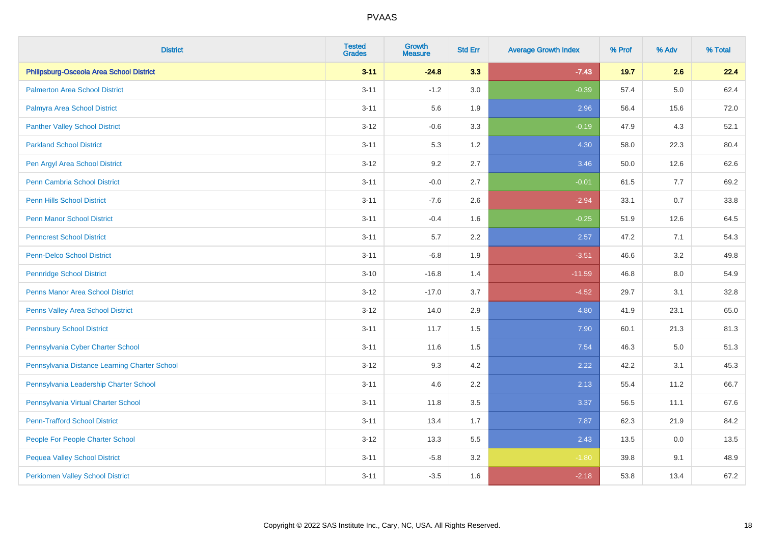| <b>District</b>                               | <b>Tested</b><br><b>Grades</b> | <b>Growth</b><br><b>Measure</b> | <b>Std Err</b> | <b>Average Growth Index</b> | % Prof | % Adv   | % Total |
|-----------------------------------------------|--------------------------------|---------------------------------|----------------|-----------------------------|--------|---------|---------|
| Philipsburg-Osceola Area School District      | $3 - 11$                       | $-24.8$                         | 3.3            | $-7.43$                     | 19.7   | 2.6     | 22.4    |
| <b>Palmerton Area School District</b>         | $3 - 11$                       | $-1.2$                          | 3.0            | $-0.39$                     | 57.4   | $5.0\,$ | 62.4    |
| Palmyra Area School District                  | $3 - 11$                       | 5.6                             | 1.9            | 2.96                        | 56.4   | 15.6    | 72.0    |
| <b>Panther Valley School District</b>         | $3 - 12$                       | $-0.6$                          | 3.3            | $-0.19$                     | 47.9   | 4.3     | 52.1    |
| <b>Parkland School District</b>               | $3 - 11$                       | 5.3                             | 1.2            | 4.30                        | 58.0   | 22.3    | 80.4    |
| Pen Argyl Area School District                | $3 - 12$                       | 9.2                             | 2.7            | 3.46                        | 50.0   | 12.6    | 62.6    |
| Penn Cambria School District                  | $3 - 11$                       | $-0.0$                          | 2.7            | $-0.01$                     | 61.5   | 7.7     | 69.2    |
| <b>Penn Hills School District</b>             | $3 - 11$                       | $-7.6$                          | 2.6            | $-2.94$                     | 33.1   | 0.7     | 33.8    |
| <b>Penn Manor School District</b>             | $3 - 11$                       | $-0.4$                          | 1.6            | $-0.25$                     | 51.9   | 12.6    | 64.5    |
| <b>Penncrest School District</b>              | $3 - 11$                       | 5.7                             | 2.2            | 2.57                        | 47.2   | 7.1     | 54.3    |
| <b>Penn-Delco School District</b>             | $3 - 11$                       | $-6.8$                          | 1.9            | $-3.51$                     | 46.6   | 3.2     | 49.8    |
| <b>Pennridge School District</b>              | $3 - 10$                       | $-16.8$                         | 1.4            | $-11.59$                    | 46.8   | 8.0     | 54.9    |
| Penns Manor Area School District              | $3 - 12$                       | $-17.0$                         | 3.7            | $-4.52$                     | 29.7   | 3.1     | 32.8    |
| Penns Valley Area School District             | $3 - 12$                       | 14.0                            | 2.9            | 4.80                        | 41.9   | 23.1    | 65.0    |
| <b>Pennsbury School District</b>              | $3 - 11$                       | 11.7                            | 1.5            | 7.90                        | 60.1   | 21.3    | 81.3    |
| Pennsylvania Cyber Charter School             | $3 - 11$                       | 11.6                            | 1.5            | 7.54                        | 46.3   | 5.0     | 51.3    |
| Pennsylvania Distance Learning Charter School | $3 - 12$                       | 9.3                             | 4.2            | 2.22                        | 42.2   | 3.1     | 45.3    |
| Pennsylvania Leadership Charter School        | $3 - 11$                       | 4.6                             | 2.2            | 2.13                        | 55.4   | 11.2    | 66.7    |
| Pennsylvania Virtual Charter School           | $3 - 11$                       | 11.8                            | 3.5            | 3.37                        | 56.5   | 11.1    | 67.6    |
| <b>Penn-Trafford School District</b>          | $3 - 11$                       | 13.4                            | 1.7            | 7.87                        | 62.3   | 21.9    | 84.2    |
| People For People Charter School              | $3 - 12$                       | 13.3                            | 5.5            | 2.43                        | 13.5   | 0.0     | 13.5    |
| <b>Pequea Valley School District</b>          | $3 - 11$                       | $-5.8$                          | 3.2            | $-1.80$                     | 39.8   | 9.1     | 48.9    |
| <b>Perkiomen Valley School District</b>       | $3 - 11$                       | $-3.5$                          | 1.6            | $-2.18$                     | 53.8   | 13.4    | 67.2    |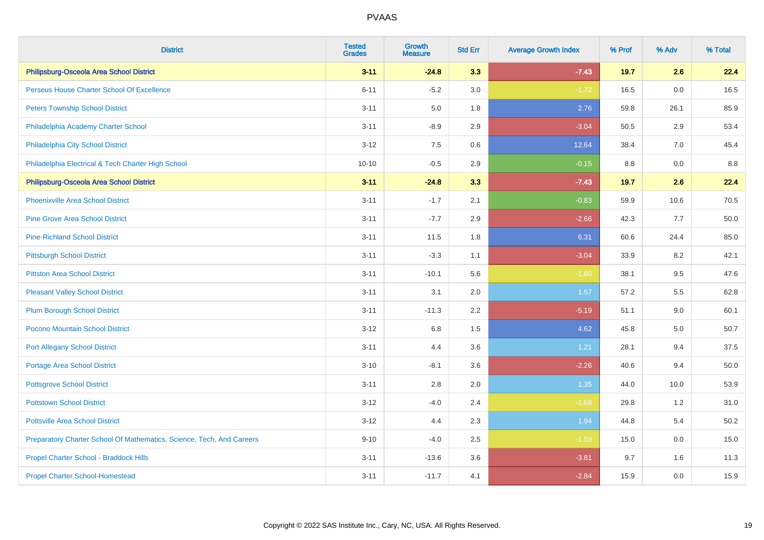| <b>District</b>                                                       | <b>Tested</b><br><b>Grades</b> | <b>Growth</b><br><b>Measure</b> | <b>Std Err</b> | <b>Average Growth Index</b> | % Prof | % Adv | % Total |
|-----------------------------------------------------------------------|--------------------------------|---------------------------------|----------------|-----------------------------|--------|-------|---------|
| Philipsburg-Osceola Area School District                              | $3 - 11$                       | $-24.8$                         | 3.3            | $-7.43$                     | 19.7   | 2.6   | 22.4    |
| Perseus House Charter School Of Excellence                            | $6 - 11$                       | $-5.2$                          | 3.0            | $-1.72$                     | 16.5   | 0.0   | 16.5    |
| <b>Peters Township School District</b>                                | $3 - 11$                       | 5.0                             | 1.8            | 2.76                        | 59.8   | 26.1  | 85.9    |
| Philadelphia Academy Charter School                                   | $3 - 11$                       | $-8.9$                          | 2.9            | $-3.04$                     | 50.5   | 2.9   | 53.4    |
| Philadelphia City School District                                     | $3 - 12$                       | 7.5                             | 0.6            | 12.64                       | 38.4   | 7.0   | 45.4    |
| Philadelphia Electrical & Tech Charter High School                    | $10 - 10$                      | $-0.5$                          | 2.9            | $-0.15$                     | 8.8    | 0.0   | 8.8     |
| Philipsburg-Osceola Area School District                              | $3 - 11$                       | $-24.8$                         | 3.3            | $-7.43$                     | 19.7   | 2.6   | 22.4    |
| <b>Phoenixville Area School District</b>                              | $3 - 11$                       | $-1.7$                          | 2.1            | $-0.83$                     | 59.9   | 10.6  | 70.5    |
| <b>Pine Grove Area School District</b>                                | $3 - 11$                       | $-7.7$                          | 2.9            | $-2.66$                     | 42.3   | 7.7   | 50.0    |
| <b>Pine-Richland School District</b>                                  | $3 - 11$                       | 11.5                            | 1.8            | 6.31                        | 60.6   | 24.4  | 85.0    |
| <b>Pittsburgh School District</b>                                     | $3 - 11$                       | $-3.3$                          | 1.1            | $-3.04$                     | 33.9   | 8.2   | 42.1    |
| <b>Pittston Area School District</b>                                  | $3 - 11$                       | $-10.1$                         | 5.6            | $-1.80$                     | 38.1   | 9.5   | 47.6    |
| <b>Pleasant Valley School District</b>                                | $3 - 11$                       | 3.1                             | 2.0            | 1.57                        | 57.2   | 5.5   | 62.8    |
| <b>Plum Borough School District</b>                                   | $3 - 11$                       | $-11.3$                         | 2.2            | $-5.19$                     | 51.1   | 9.0   | 60.1    |
| Pocono Mountain School District                                       | $3 - 12$                       | 6.8                             | 1.5            | 4.62                        | 45.8   | 5.0   | 50.7    |
| <b>Port Allegany School District</b>                                  | $3 - 11$                       | 4.4                             | 3.6            | 1.21                        | 28.1   | 9.4   | 37.5    |
| <b>Portage Area School District</b>                                   | $3 - 10$                       | $-8.1$                          | 3.6            | $-2.26$                     | 40.6   | 9.4   | 50.0    |
| <b>Pottsgrove School District</b>                                     | $3 - 11$                       | 2.8                             | 2.0            | 1.35                        | 44.0   | 10.0  | 53.9    |
| <b>Pottstown School District</b>                                      | $3 - 12$                       | $-4.0$                          | 2.4            | $-1.68$                     | 29.8   | 1.2   | 31.0    |
| <b>Pottsville Area School District</b>                                | $3 - 12$                       | 4.4                             | 2.3            | 1.94                        | 44.8   | 5.4   | 50.2    |
| Preparatory Charter School Of Mathematics, Science, Tech, And Careers | $9 - 10$                       | $-4.0$                          | $2.5\,$        | $-1.59$                     | 15.0   | 0.0   | 15.0    |
| Propel Charter School - Braddock Hills                                | $3 - 11$                       | $-13.6$                         | 3.6            | $-3.81$                     | 9.7    | 1.6   | 11.3    |
| <b>Propel Charter School-Homestead</b>                                | $3 - 11$                       | $-11.7$                         | 4.1            | $-2.84$                     | 15.9   | 0.0   | 15.9    |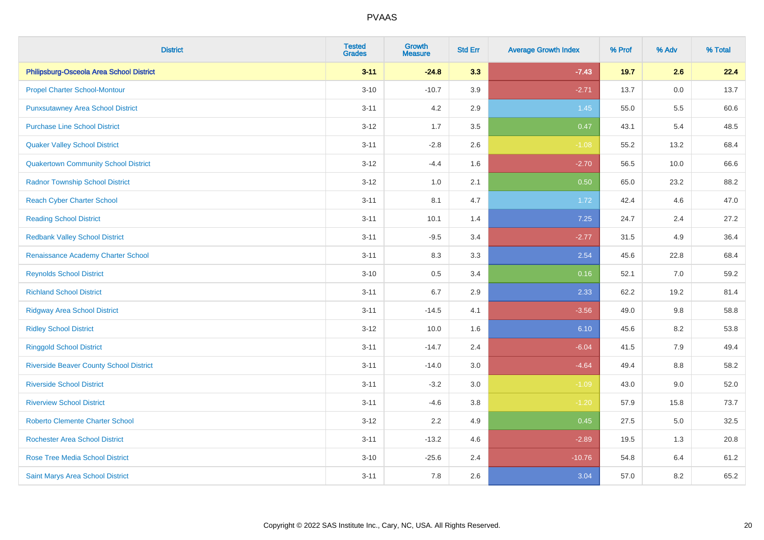| <b>District</b>                                | <b>Tested</b><br><b>Grades</b> | <b>Growth</b><br><b>Measure</b> | <b>Std Err</b> | <b>Average Growth Index</b> | % Prof | % Adv   | % Total |
|------------------------------------------------|--------------------------------|---------------------------------|----------------|-----------------------------|--------|---------|---------|
| Philipsburg-Osceola Area School District       | $3 - 11$                       | $-24.8$                         | 3.3            | $-7.43$                     | 19.7   | 2.6     | 22.4    |
| <b>Propel Charter School-Montour</b>           | $3 - 10$                       | $-10.7$                         | 3.9            | $-2.71$                     | 13.7   | 0.0     | 13.7    |
| <b>Punxsutawney Area School District</b>       | $3 - 11$                       | 4.2                             | 2.9            | 1.45                        | 55.0   | 5.5     | 60.6    |
| <b>Purchase Line School District</b>           | $3 - 12$                       | 1.7                             | 3.5            | 0.47                        | 43.1   | 5.4     | 48.5    |
| <b>Quaker Valley School District</b>           | $3 - 11$                       | $-2.8$                          | 2.6            | $-1.08$                     | 55.2   | 13.2    | 68.4    |
| <b>Quakertown Community School District</b>    | $3 - 12$                       | $-4.4$                          | 1.6            | $-2.70$                     | 56.5   | 10.0    | 66.6    |
| <b>Radnor Township School District</b>         | $3 - 12$                       | 1.0                             | 2.1            | 0.50                        | 65.0   | 23.2    | 88.2    |
| <b>Reach Cyber Charter School</b>              | $3 - 11$                       | 8.1                             | 4.7            | 1.72                        | 42.4   | 4.6     | 47.0    |
| <b>Reading School District</b>                 | $3 - 11$                       | 10.1                            | 1.4            | 7.25                        | 24.7   | 2.4     | 27.2    |
| <b>Redbank Valley School District</b>          | $3 - 11$                       | $-9.5$                          | 3.4            | $-2.77$                     | 31.5   | 4.9     | 36.4    |
| Renaissance Academy Charter School             | $3 - 11$                       | 8.3                             | 3.3            | 2.54                        | 45.6   | 22.8    | 68.4    |
| <b>Reynolds School District</b>                | $3 - 10$                       | 0.5                             | 3.4            | 0.16                        | 52.1   | 7.0     | 59.2    |
| <b>Richland School District</b>                | $3 - 11$                       | 6.7                             | 2.9            | 2.33                        | 62.2   | 19.2    | 81.4    |
| <b>Ridgway Area School District</b>            | $3 - 11$                       | $-14.5$                         | 4.1            | $-3.56$                     | 49.0   | 9.8     | 58.8    |
| <b>Ridley School District</b>                  | $3 - 12$                       | 10.0                            | 1.6            | 6.10                        | 45.6   | 8.2     | 53.8    |
| <b>Ringgold School District</b>                | $3 - 11$                       | $-14.7$                         | 2.4            | $-6.04$                     | 41.5   | 7.9     | 49.4    |
| <b>Riverside Beaver County School District</b> | $3 - 11$                       | $-14.0$                         | 3.0            | $-4.64$                     | 49.4   | 8.8     | 58.2    |
| <b>Riverside School District</b>               | $3 - 11$                       | $-3.2$                          | 3.0            | $-1.09$                     | 43.0   | 9.0     | 52.0    |
| <b>Riverview School District</b>               | $3 - 11$                       | $-4.6$                          | 3.8            | $-1.20$                     | 57.9   | 15.8    | 73.7    |
| <b>Roberto Clemente Charter School</b>         | $3 - 12$                       | 2.2                             | 4.9            | 0.45                        | 27.5   | $5.0\,$ | 32.5    |
| <b>Rochester Area School District</b>          | $3 - 11$                       | $-13.2$                         | 4.6            | $-2.89$                     | 19.5   | 1.3     | 20.8    |
| <b>Rose Tree Media School District</b>         | $3 - 10$                       | $-25.6$                         | 2.4            | $-10.76$                    | 54.8   | 6.4     | 61.2    |
| Saint Marys Area School District               | $3 - 11$                       | 7.8                             | 2.6            | 3.04                        | 57.0   | 8.2     | 65.2    |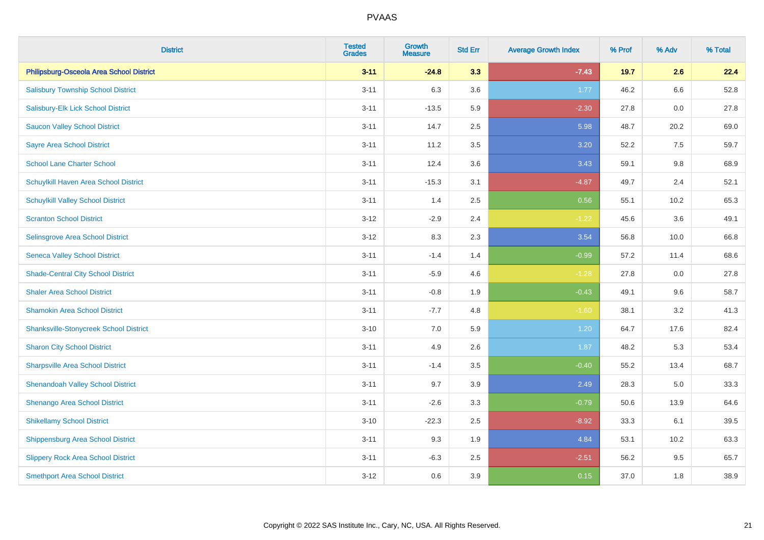| <b>District</b>                               | <b>Tested</b><br><b>Grades</b> | <b>Growth</b><br><b>Measure</b> | <b>Std Err</b> | <b>Average Growth Index</b> | % Prof | % Adv   | % Total |
|-----------------------------------------------|--------------------------------|---------------------------------|----------------|-----------------------------|--------|---------|---------|
| Philipsburg-Osceola Area School District      | $3 - 11$                       | $-24.8$                         | 3.3            | $-7.43$                     | 19.7   | 2.6     | 22.4    |
| <b>Salisbury Township School District</b>     | $3 - 11$                       | 6.3                             | 3.6            | 1.77                        | 46.2   | $6.6\,$ | 52.8    |
| Salisbury-Elk Lick School District            | $3 - 11$                       | $-13.5$                         | 5.9            | $-2.30$                     | 27.8   | 0.0     | 27.8    |
| <b>Saucon Valley School District</b>          | $3 - 11$                       | 14.7                            | 2.5            | 5.98                        | 48.7   | 20.2    | 69.0    |
| <b>Sayre Area School District</b>             | $3 - 11$                       | 11.2                            | 3.5            | 3.20                        | 52.2   | 7.5     | 59.7    |
| <b>School Lane Charter School</b>             | $3 - 11$                       | 12.4                            | 3.6            | 3.43                        | 59.1   | 9.8     | 68.9    |
| Schuylkill Haven Area School District         | $3 - 11$                       | $-15.3$                         | 3.1            | $-4.87$                     | 49.7   | 2.4     | 52.1    |
| <b>Schuylkill Valley School District</b>      | $3 - 11$                       | 1.4                             | 2.5            | 0.56                        | 55.1   | 10.2    | 65.3    |
| <b>Scranton School District</b>               | $3 - 12$                       | $-2.9$                          | 2.4            | $-1.22$                     | 45.6   | 3.6     | 49.1    |
| Selinsgrove Area School District              | $3 - 12$                       | 8.3                             | 2.3            | 3.54                        | 56.8   | 10.0    | 66.8    |
| <b>Seneca Valley School District</b>          | $3 - 11$                       | $-1.4$                          | 1.4            | $-0.99$                     | 57.2   | 11.4    | 68.6    |
| <b>Shade-Central City School District</b>     | $3 - 11$                       | $-5.9$                          | 4.6            | $-1.28$                     | 27.8   | 0.0     | 27.8    |
| <b>Shaler Area School District</b>            | $3 - 11$                       | $-0.8$                          | 1.9            | $-0.43$                     | 49.1   | 9.6     | 58.7    |
| <b>Shamokin Area School District</b>          | $3 - 11$                       | $-7.7$                          | 4.8            | $-1.60$                     | 38.1   | 3.2     | 41.3    |
| <b>Shanksville-Stonycreek School District</b> | $3 - 10$                       | 7.0                             | 5.9            | 1.20                        | 64.7   | 17.6    | 82.4    |
| <b>Sharon City School District</b>            | $3 - 11$                       | 4.9                             | 2.6            | 1.87                        | 48.2   | 5.3     | 53.4    |
| <b>Sharpsville Area School District</b>       | $3 - 11$                       | $-1.4$                          | 3.5            | $-0.40$                     | 55.2   | 13.4    | 68.7    |
| <b>Shenandoah Valley School District</b>      | $3 - 11$                       | 9.7                             | 3.9            | 2.49                        | 28.3   | 5.0     | 33.3    |
| Shenango Area School District                 | $3 - 11$                       | $-2.6$                          | 3.3            | $-0.79$                     | 50.6   | 13.9    | 64.6    |
| <b>Shikellamy School District</b>             | $3 - 10$                       | $-22.3$                         | 2.5            | $-8.92$                     | 33.3   | 6.1     | 39.5    |
| Shippensburg Area School District             | $3 - 11$                       | 9.3                             | 1.9            | 4.84                        | 53.1   | 10.2    | 63.3    |
| <b>Slippery Rock Area School District</b>     | $3 - 11$                       | $-6.3$                          | 2.5            | $-2.51$                     | 56.2   | 9.5     | 65.7    |
| <b>Smethport Area School District</b>         | $3 - 12$                       | 0.6                             | 3.9            | 0.15                        | 37.0   | 1.8     | 38.9    |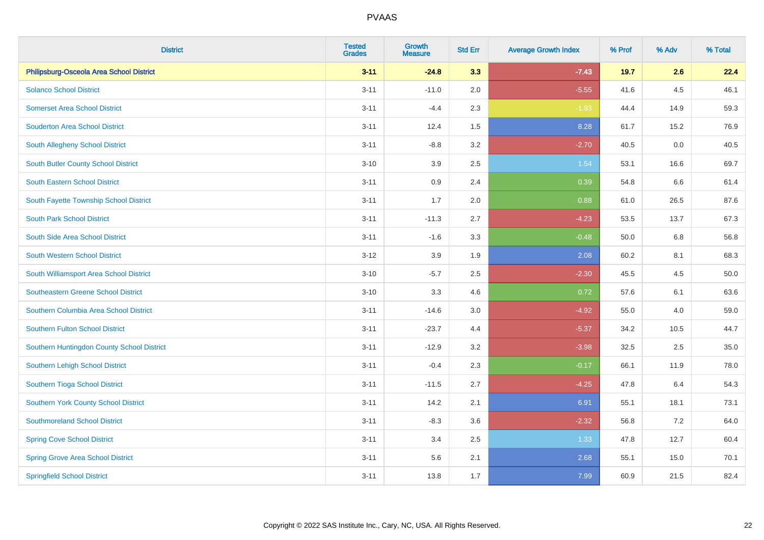| <b>District</b>                            | <b>Tested</b><br><b>Grades</b> | <b>Growth</b><br><b>Measure</b> | <b>Std Err</b> | <b>Average Growth Index</b> | % Prof | % Adv | % Total |
|--------------------------------------------|--------------------------------|---------------------------------|----------------|-----------------------------|--------|-------|---------|
| Philipsburg-Osceola Area School District   | $3 - 11$                       | $-24.8$                         | 3.3            | $-7.43$                     | 19.7   | 2.6   | 22.4    |
| <b>Solanco School District</b>             | $3 - 11$                       | $-11.0$                         | 2.0            | $-5.55$                     | 41.6   | 4.5   | 46.1    |
| <b>Somerset Area School District</b>       | $3 - 11$                       | $-4.4$                          | 2.3            | $-1.93$                     | 44.4   | 14.9  | 59.3    |
| <b>Souderton Area School District</b>      | $3 - 11$                       | 12.4                            | 1.5            | 8.28                        | 61.7   | 15.2  | 76.9    |
| South Allegheny School District            | $3 - 11$                       | $-8.8$                          | 3.2            | $-2.70$                     | 40.5   | 0.0   | 40.5    |
| South Butler County School District        | $3 - 10$                       | 3.9                             | 2.5            | 1.54                        | 53.1   | 16.6  | 69.7    |
| <b>South Eastern School District</b>       | $3 - 11$                       | 0.9                             | 2.4            | 0.39                        | 54.8   | 6.6   | 61.4    |
| South Fayette Township School District     | $3 - 11$                       | 1.7                             | 2.0            | 0.88                        | 61.0   | 26.5  | 87.6    |
| <b>South Park School District</b>          | $3 - 11$                       | $-11.3$                         | 2.7            | $-4.23$                     | 53.5   | 13.7  | 67.3    |
| South Side Area School District            | $3 - 11$                       | $-1.6$                          | 3.3            | $-0.48$                     | 50.0   | 6.8   | 56.8    |
| South Western School District              | $3 - 12$                       | 3.9                             | 1.9            | 2.08                        | 60.2   | 8.1   | 68.3    |
| South Williamsport Area School District    | $3 - 10$                       | $-5.7$                          | 2.5            | $-2.30$                     | 45.5   | 4.5   | 50.0    |
| Southeastern Greene School District        | $3 - 10$                       | 3.3                             | 4.6            | 0.72                        | 57.6   | 6.1   | 63.6    |
| Southern Columbia Area School District     | $3 - 11$                       | $-14.6$                         | 3.0            | $-4.92$                     | 55.0   | 4.0   | 59.0    |
| Southern Fulton School District            | $3 - 11$                       | $-23.7$                         | 4.4            | $-5.37$                     | 34.2   | 10.5  | 44.7    |
| Southern Huntingdon County School District | $3 - 11$                       | $-12.9$                         | 3.2            | $-3.98$                     | 32.5   | 2.5   | 35.0    |
| Southern Lehigh School District            | $3 - 11$                       | $-0.4$                          | 2.3            | $-0.17$                     | 66.1   | 11.9  | 78.0    |
| Southern Tioga School District             | $3 - 11$                       | $-11.5$                         | 2.7            | $-4.25$                     | 47.8   | 6.4   | 54.3    |
| Southern York County School District       | $3 - 11$                       | 14.2                            | 2.1            | 6.91                        | 55.1   | 18.1  | 73.1    |
| <b>Southmoreland School District</b>       | $3 - 11$                       | $-8.3$                          | 3.6            | $-2.32$                     | 56.8   | 7.2   | 64.0    |
| <b>Spring Cove School District</b>         | $3 - 11$                       | 3.4                             | 2.5            | 1.33                        | 47.8   | 12.7  | 60.4    |
| <b>Spring Grove Area School District</b>   | $3 - 11$                       | 5.6                             | 2.1            | 2.68                        | 55.1   | 15.0  | 70.1    |
| <b>Springfield School District</b>         | $3 - 11$                       | 13.8                            | 1.7            | 7.99                        | 60.9   | 21.5  | 82.4    |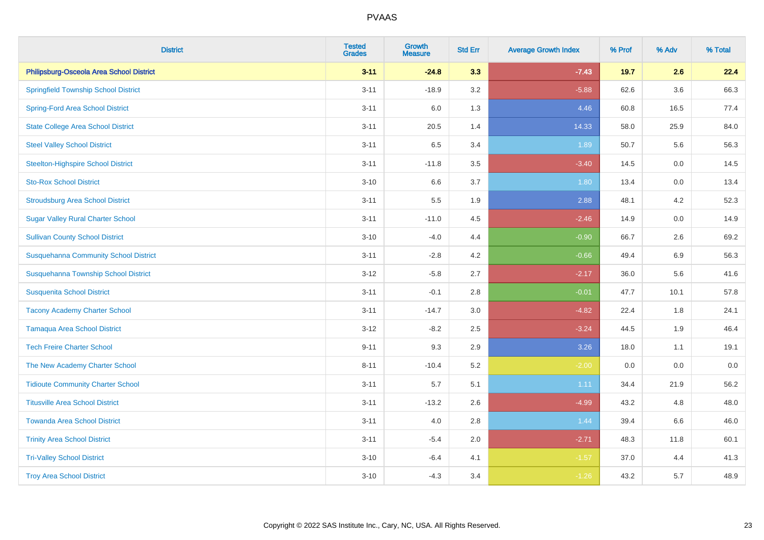| <b>District</b>                              | <b>Tested</b><br><b>Grades</b> | Growth<br><b>Measure</b> | <b>Std Err</b> | <b>Average Growth Index</b> | % Prof | % Adv   | % Total |
|----------------------------------------------|--------------------------------|--------------------------|----------------|-----------------------------|--------|---------|---------|
| Philipsburg-Osceola Area School District     | $3 - 11$                       | $-24.8$                  | 3.3            | $-7.43$                     | 19.7   | 2.6     | 22.4    |
| <b>Springfield Township School District</b>  | $3 - 11$                       | $-18.9$                  | 3.2            | $-5.88$                     | 62.6   | 3.6     | 66.3    |
| <b>Spring-Ford Area School District</b>      | $3 - 11$                       | 6.0                      | 1.3            | 4.46                        | 60.8   | 16.5    | 77.4    |
| <b>State College Area School District</b>    | $3 - 11$                       | 20.5                     | 1.4            | 14.33                       | 58.0   | 25.9    | 84.0    |
| <b>Steel Valley School District</b>          | $3 - 11$                       | 6.5                      | 3.4            | 1.89                        | 50.7   | 5.6     | 56.3    |
| <b>Steelton-Highspire School District</b>    | $3 - 11$                       | $-11.8$                  | 3.5            | $-3.40$                     | 14.5   | $0.0\,$ | 14.5    |
| <b>Sto-Rox School District</b>               | $3 - 10$                       | 6.6                      | 3.7            | 1.80                        | 13.4   | 0.0     | 13.4    |
| <b>Stroudsburg Area School District</b>      | $3 - 11$                       | 5.5                      | 1.9            | 2.88                        | 48.1   | 4.2     | 52.3    |
| <b>Sugar Valley Rural Charter School</b>     | $3 - 11$                       | $-11.0$                  | 4.5            | $-2.46$                     | 14.9   | 0.0     | 14.9    |
| <b>Sullivan County School District</b>       | $3 - 10$                       | $-4.0$                   | 4.4            | $-0.90$                     | 66.7   | 2.6     | 69.2    |
| <b>Susquehanna Community School District</b> | $3 - 11$                       | $-2.8$                   | 4.2            | $-0.66$                     | 49.4   | 6.9     | 56.3    |
| Susquehanna Township School District         | $3 - 12$                       | $-5.8$                   | 2.7            | $-2.17$                     | 36.0   | 5.6     | 41.6    |
| <b>Susquenita School District</b>            | $3 - 11$                       | $-0.1$                   | 2.8            | $-0.01$                     | 47.7   | 10.1    | 57.8    |
| <b>Tacony Academy Charter School</b>         | $3 - 11$                       | $-14.7$                  | 3.0            | $-4.82$                     | 22.4   | 1.8     | 24.1    |
| <b>Tamaqua Area School District</b>          | $3 - 12$                       | $-8.2$                   | 2.5            | $-3.24$                     | 44.5   | 1.9     | 46.4    |
| <b>Tech Freire Charter School</b>            | $9 - 11$                       | 9.3                      | 2.9            | 3.26                        | 18.0   | 1.1     | 19.1    |
| The New Academy Charter School               | $8 - 11$                       | $-10.4$                  | 5.2            | $-2.00$                     | 0.0    | 0.0     | $0.0\,$ |
| <b>Tidioute Community Charter School</b>     | $3 - 11$                       | 5.7                      | 5.1            | 1.11                        | 34.4   | 21.9    | 56.2    |
| <b>Titusville Area School District</b>       | $3 - 11$                       | $-13.2$                  | 2.6            | $-4.99$                     | 43.2   | 4.8     | 48.0    |
| <b>Towanda Area School District</b>          | $3 - 11$                       | 4.0                      | 2.8            | 1.44                        | 39.4   | 6.6     | 46.0    |
| <b>Trinity Area School District</b>          | $3 - 11$                       | $-5.4$                   | 2.0            | $-2.71$                     | 48.3   | 11.8    | 60.1    |
| <b>Tri-Valley School District</b>            | $3 - 10$                       | $-6.4$                   | 4.1            | $-1.57$                     | 37.0   | 4.4     | 41.3    |
| <b>Troy Area School District</b>             | $3 - 10$                       | $-4.3$                   | 3.4            | $-1.26$                     | 43.2   | 5.7     | 48.9    |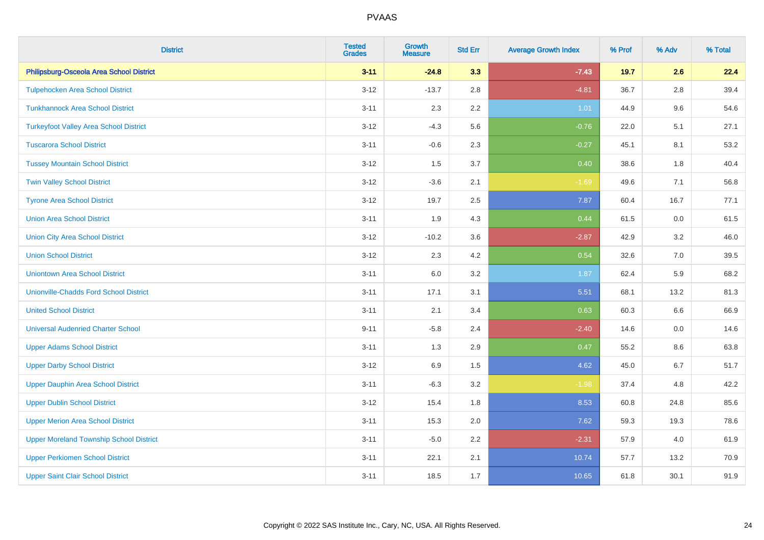| <b>District</b>                                | <b>Tested</b><br><b>Grades</b> | Growth<br><b>Measure</b> | <b>Std Err</b> | <b>Average Growth Index</b> | % Prof | % Adv   | % Total |
|------------------------------------------------|--------------------------------|--------------------------|----------------|-----------------------------|--------|---------|---------|
| Philipsburg-Osceola Area School District       | $3 - 11$                       | $-24.8$                  | 3.3            | $-7.43$                     | 19.7   | 2.6     | 22.4    |
| <b>Tulpehocken Area School District</b>        | $3 - 12$                       | $-13.7$                  | 2.8            | $-4.81$                     | 36.7   | 2.8     | 39.4    |
| <b>Tunkhannock Area School District</b>        | $3 - 11$                       | 2.3                      | $2.2\,$        | 1.01                        | 44.9   | $9.6\,$ | 54.6    |
| <b>Turkeyfoot Valley Area School District</b>  | $3 - 12$                       | $-4.3$                   | 5.6            | $-0.76$                     | 22.0   | 5.1     | 27.1    |
| <b>Tuscarora School District</b>               | $3 - 11$                       | $-0.6$                   | 2.3            | $-0.27$                     | 45.1   | 8.1     | 53.2    |
| <b>Tussey Mountain School District</b>         | $3 - 12$                       | 1.5                      | 3.7            | 0.40                        | 38.6   | 1.8     | 40.4    |
| <b>Twin Valley School District</b>             | $3 - 12$                       | $-3.6$                   | 2.1            | $-1.69$                     | 49.6   | 7.1     | 56.8    |
| <b>Tyrone Area School District</b>             | $3 - 12$                       | 19.7                     | 2.5            | 7.87                        | 60.4   | 16.7    | 77.1    |
| <b>Union Area School District</b>              | $3 - 11$                       | 1.9                      | 4.3            | 0.44                        | 61.5   | 0.0     | 61.5    |
| <b>Union City Area School District</b>         | $3 - 12$                       | $-10.2$                  | 3.6            | $-2.87$                     | 42.9   | 3.2     | 46.0    |
| <b>Union School District</b>                   | $3 - 12$                       | 2.3                      | 4.2            | 0.54                        | 32.6   | 7.0     | 39.5    |
| <b>Uniontown Area School District</b>          | $3 - 11$                       | 6.0                      | 3.2            | 1.87                        | 62.4   | 5.9     | 68.2    |
| <b>Unionville-Chadds Ford School District</b>  | $3 - 11$                       | 17.1                     | 3.1            | 5.51                        | 68.1   | 13.2    | 81.3    |
| <b>United School District</b>                  | $3 - 11$                       | 2.1                      | 3.4            | 0.63                        | 60.3   | 6.6     | 66.9    |
| <b>Universal Audenried Charter School</b>      | $9 - 11$                       | $-5.8$                   | 2.4            | $-2.40$                     | 14.6   | 0.0     | 14.6    |
| <b>Upper Adams School District</b>             | $3 - 11$                       | 1.3                      | 2.9            | 0.47                        | 55.2   | $8.6\,$ | 63.8    |
| <b>Upper Darby School District</b>             | $3 - 12$                       | 6.9                      | 1.5            | 4.62                        | 45.0   | 6.7     | 51.7    |
| <b>Upper Dauphin Area School District</b>      | $3 - 11$                       | $-6.3$                   | 3.2            | $-1.98$                     | 37.4   | 4.8     | 42.2    |
| <b>Upper Dublin School District</b>            | $3 - 12$                       | 15.4                     | 1.8            | 8.53                        | 60.8   | 24.8    | 85.6    |
| <b>Upper Merion Area School District</b>       | $3 - 11$                       | 15.3                     | 2.0            | 7.62                        | 59.3   | 19.3    | 78.6    |
| <b>Upper Moreland Township School District</b> | $3 - 11$                       | $-5.0$                   | 2.2            | $-2.31$                     | 57.9   | 4.0     | 61.9    |
| <b>Upper Perkiomen School District</b>         | $3 - 11$                       | 22.1                     | 2.1            | 10.74                       | 57.7   | 13.2    | 70.9    |
| <b>Upper Saint Clair School District</b>       | $3 - 11$                       | 18.5                     | 1.7            | 10.65                       | 61.8   | 30.1    | 91.9    |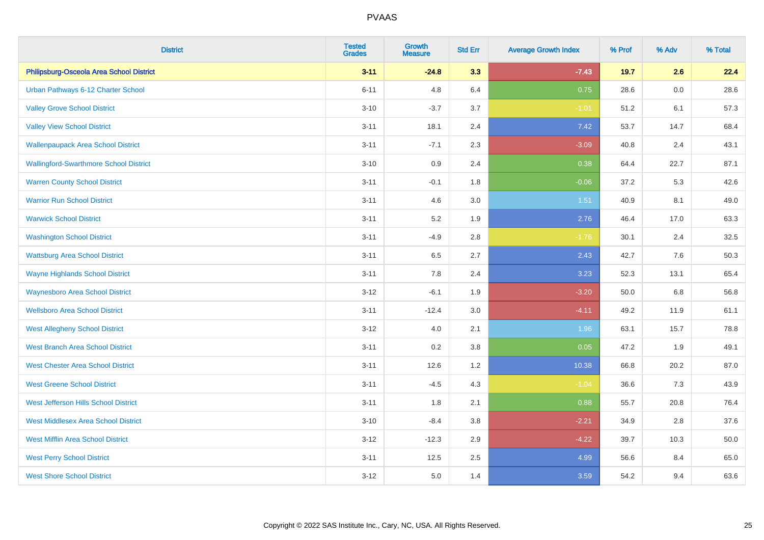| <b>District</b>                               | <b>Tested</b><br><b>Grades</b> | <b>Growth</b><br><b>Measure</b> | <b>Std Err</b> | <b>Average Growth Index</b> | % Prof | % Adv   | % Total |
|-----------------------------------------------|--------------------------------|---------------------------------|----------------|-----------------------------|--------|---------|---------|
| Philipsburg-Osceola Area School District      | $3 - 11$                       | $-24.8$                         | 3.3            | $-7.43$                     | 19.7   | 2.6     | 22.4    |
| Urban Pathways 6-12 Charter School            | $6 - 11$                       | 4.8                             | 6.4            | 0.75                        | 28.6   | $0.0\,$ | 28.6    |
| <b>Valley Grove School District</b>           | $3 - 10$                       | $-3.7$                          | 3.7            | $-1.01$                     | 51.2   | 6.1     | 57.3    |
| <b>Valley View School District</b>            | $3 - 11$                       | 18.1                            | 2.4            | 7.42                        | 53.7   | 14.7    | 68.4    |
| <b>Wallenpaupack Area School District</b>     | $3 - 11$                       | $-7.1$                          | 2.3            | $-3.09$                     | 40.8   | 2.4     | 43.1    |
| <b>Wallingford-Swarthmore School District</b> | $3 - 10$                       | 0.9                             | 2.4            | 0.38                        | 64.4   | 22.7    | 87.1    |
| <b>Warren County School District</b>          | $3 - 11$                       | $-0.1$                          | 1.8            | $-0.06$                     | 37.2   | 5.3     | 42.6    |
| <b>Warrior Run School District</b>            | $3 - 11$                       | 4.6                             | 3.0            | 1.51                        | 40.9   | 8.1     | 49.0    |
| <b>Warwick School District</b>                | $3 - 11$                       | 5.2                             | 1.9            | 2.76                        | 46.4   | 17.0    | 63.3    |
| <b>Washington School District</b>             | $3 - 11$                       | $-4.9$                          | $2.8\,$        | $-1.76$                     | 30.1   | 2.4     | 32.5    |
| <b>Wattsburg Area School District</b>         | $3 - 11$                       | 6.5                             | 2.7            | 2.43                        | 42.7   | 7.6     | 50.3    |
| <b>Wayne Highlands School District</b>        | $3 - 11$                       | 7.8                             | 2.4            | 3.23                        | 52.3   | 13.1    | 65.4    |
| <b>Waynesboro Area School District</b>        | $3 - 12$                       | $-6.1$                          | 1.9            | $-3.20$                     | 50.0   | $6.8\,$ | 56.8    |
| <b>Wellsboro Area School District</b>         | $3 - 11$                       | $-12.4$                         | 3.0            | $-4.11$                     | 49.2   | 11.9    | 61.1    |
| <b>West Allegheny School District</b>         | $3 - 12$                       | 4.0                             | 2.1            | 1.96                        | 63.1   | 15.7    | 78.8    |
| <b>West Branch Area School District</b>       | $3 - 11$                       | 0.2                             | 3.8            | 0.05                        | 47.2   | 1.9     | 49.1    |
| <b>West Chester Area School District</b>      | $3 - 11$                       | 12.6                            | 1.2            | 10.38                       | 66.8   | 20.2    | 87.0    |
| <b>West Greene School District</b>            | $3 - 11$                       | $-4.5$                          | 4.3            | $-1.04$                     | 36.6   | 7.3     | 43.9    |
| West Jefferson Hills School District          | $3 - 11$                       | 1.8                             | 2.1            | 0.88                        | 55.7   | 20.8    | 76.4    |
| <b>West Middlesex Area School District</b>    | $3 - 10$                       | $-8.4$                          | 3.8            | $-2.21$                     | 34.9   | 2.8     | 37.6    |
| <b>West Mifflin Area School District</b>      | $3 - 12$                       | $-12.3$                         | 2.9            | $-4.22$                     | 39.7   | 10.3    | 50.0    |
| <b>West Perry School District</b>             | $3 - 11$                       | 12.5                            | 2.5            | 4.99                        | 56.6   | 8.4     | 65.0    |
| <b>West Shore School District</b>             | $3 - 12$                       | 5.0                             | 1.4            | 3.59                        | 54.2   | 9.4     | 63.6    |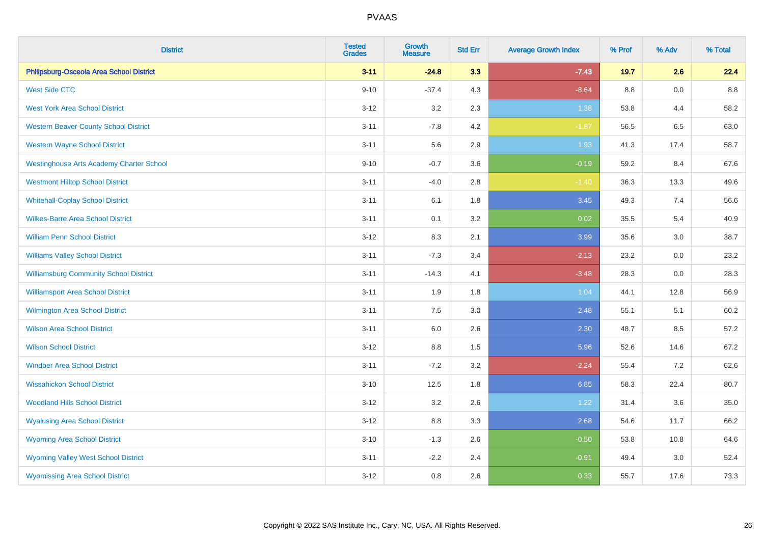| <b>District</b>                                 | <b>Tested</b><br><b>Grades</b> | <b>Growth</b><br><b>Measure</b> | <b>Std Err</b> | <b>Average Growth Index</b> | % Prof | % Adv | % Total |
|-------------------------------------------------|--------------------------------|---------------------------------|----------------|-----------------------------|--------|-------|---------|
| Philipsburg-Osceola Area School District        | $3 - 11$                       | $-24.8$                         | 3.3            | $-7.43$                     | 19.7   | 2.6   | 22.4    |
| <b>West Side CTC</b>                            | $9 - 10$                       | $-37.4$                         | 4.3            | $-8.64$                     | 8.8    | 0.0   | 8.8     |
| <b>West York Area School District</b>           | $3 - 12$                       | 3.2                             | 2.3            | 1.38                        | 53.8   | 4.4   | 58.2    |
| <b>Western Beaver County School District</b>    | $3 - 11$                       | $-7.8$                          | 4.2            | $-1.87$                     | 56.5   | 6.5   | 63.0    |
| <b>Western Wayne School District</b>            | $3 - 11$                       | 5.6                             | 2.9            | 1.93                        | 41.3   | 17.4  | 58.7    |
| <b>Westinghouse Arts Academy Charter School</b> | $9 - 10$                       | $-0.7$                          | 3.6            | $-0.19$                     | 59.2   | 8.4   | 67.6    |
| <b>Westmont Hilltop School District</b>         | $3 - 11$                       | $-4.0$                          | 2.8            | $-1.40$                     | 36.3   | 13.3  | 49.6    |
| <b>Whitehall-Coplay School District</b>         | $3 - 11$                       | 6.1                             | 1.8            | 3.45                        | 49.3   | 7.4   | 56.6    |
| <b>Wilkes-Barre Area School District</b>        | $3 - 11$                       | 0.1                             | 3.2            | 0.02                        | 35.5   | 5.4   | 40.9    |
| <b>William Penn School District</b>             | $3 - 12$                       | 8.3                             | 2.1            | 3.99                        | 35.6   | 3.0   | 38.7    |
| <b>Williams Valley School District</b>          | $3 - 11$                       | $-7.3$                          | 3.4            | $-2.13$                     | 23.2   | 0.0   | 23.2    |
| <b>Williamsburg Community School District</b>   | $3 - 11$                       | $-14.3$                         | 4.1            | $-3.48$                     | 28.3   | 0.0   | 28.3    |
| <b>Williamsport Area School District</b>        | $3 - 11$                       | 1.9                             | 1.8            | 1.04                        | 44.1   | 12.8  | 56.9    |
| Wilmington Area School District                 | $3 - 11$                       | $7.5\,$                         | 3.0            | 2.48                        | 55.1   | 5.1   | 60.2    |
| <b>Wilson Area School District</b>              | $3 - 11$                       | 6.0                             | 2.6            | 2.30                        | 48.7   | 8.5   | 57.2    |
| <b>Wilson School District</b>                   | $3 - 12$                       | 8.8                             | 1.5            | 5.96                        | 52.6   | 14.6  | 67.2    |
| <b>Windber Area School District</b>             | $3 - 11$                       | $-7.2$                          | 3.2            | $-2.24$                     | 55.4   | 7.2   | 62.6    |
| <b>Wissahickon School District</b>              | $3 - 10$                       | 12.5                            | 1.8            | 6.85                        | 58.3   | 22.4  | 80.7    |
| <b>Woodland Hills School District</b>           | $3-12$                         | 3.2                             | 2.6            | 1.22                        | 31.4   | 3.6   | 35.0    |
| <b>Wyalusing Area School District</b>           | $3 - 12$                       | 8.8                             | 3.3            | 2.68                        | 54.6   | 11.7  | 66.2    |
| <b>Wyoming Area School District</b>             | $3 - 10$                       | $-1.3$                          | 2.6            | $-0.50$                     | 53.8   | 10.8  | 64.6    |
| <b>Wyoming Valley West School District</b>      | $3 - 11$                       | $-2.2$                          | 2.4            | $-0.91$                     | 49.4   | 3.0   | 52.4    |
| <b>Wyomissing Area School District</b>          | $3-12$                         | 0.8                             | 2.6            | 0.33                        | 55.7   | 17.6  | 73.3    |